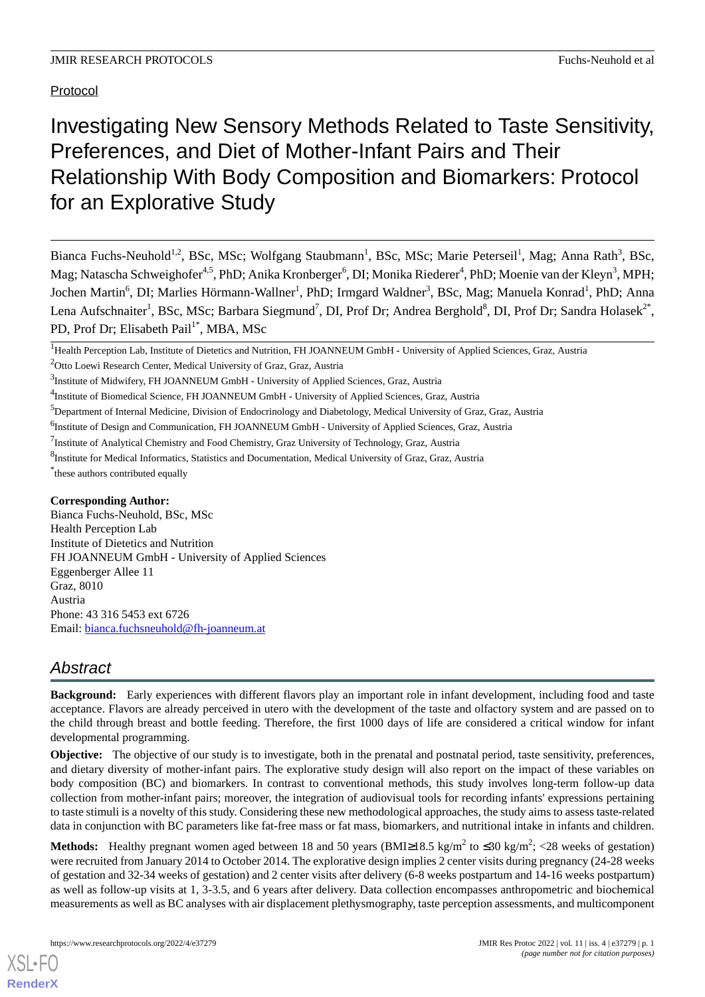# Investigating New Sensory Methods Related to Taste Sensitivity, Preferences, and Diet of Mother-Infant Pairs and Their Relationship With Body Composition and Biomarkers: Protocol for an Explorative Study

Bianca Fuchs-Neuhold<sup>1,2</sup>, BSc, MSc; Wolfgang Staubmann<sup>1</sup>, BSc, MSc; Marie Peterseil<sup>1</sup>, Mag; Anna Rath<sup>3</sup>, BSc, Mag; Natascha Schweighofer<sup>4,5</sup>, PhD; Anika Kronberger<sup>6</sup>, DI; Monika Riederer<sup>4</sup>, PhD; Moenie van der Kleyn<sup>3</sup>, MPH; Jochen Martin<sup>6</sup>, DI; Marlies Hörmann-Wallner<sup>1</sup>, PhD; Irmgard Waldner<sup>3</sup>, BSc, Mag; Manuela Konrad<sup>1</sup>, PhD; Anna Lena Aufschnaiter<sup>1</sup>, BSc, MSc; Barbara Siegmund<sup>7</sup>, DI, Prof Dr; Andrea Berghold<sup>8</sup>, DI, Prof Dr; Sandra Holasek<sup>2\*</sup>, PD, Prof Dr; Elisabeth Pail<sup>1\*</sup>, MBA, MSc

<sup>6</sup>Institute of Design and Communication, FH JOANNEUM GmbH - University of Applied Sciences, Graz, Austria

\* these authors contributed equally

# **Corresponding Author:**

Bianca Fuchs-Neuhold, BSc, MSc Health Perception Lab Institute of Dietetics and Nutrition FH JOANNEUM GmbH - University of Applied Sciences Eggenberger Allee 11 Graz, 8010 Austria Phone: 43 316 5453 ext 6726 Email: [bianca.fuchsneuhold@fh-joanneum.at](mailto:bianca.fuchsneuhold@fh-joanneum.at)

# *Abstract*

**Background:** Early experiences with different flavors play an important role in infant development, including food and taste acceptance. Flavors are already perceived in utero with the development of the taste and olfactory system and are passed on to the child through breast and bottle feeding. Therefore, the first 1000 days of life are considered a critical window for infant developmental programming.

**Objective:** The objective of our study is to investigate, both in the prenatal and postnatal period, taste sensitivity, preferences, and dietary diversity of mother-infant pairs. The explorative study design will also report on the impact of these variables on body composition (BC) and biomarkers. In contrast to conventional methods, this study involves long-term follow-up data collection from mother-infant pairs; moreover, the integration of audiovisual tools for recording infants' expressions pertaining to taste stimuli is a novelty of this study. Considering these new methodological approaches, the study aims to assess taste-related data in conjunction with BC parameters like fat-free mass or fat mass, biomarkers, and nutritional intake in infants and children.

**Methods:** Healthy pregnant women aged between 18 and 50 years (BMI≥18.5 kg/m<sup>2</sup> to ≤30 kg/m<sup>2</sup>; <28 weeks of gestation) were recruited from January 2014 to October 2014. The explorative design implies 2 center visits during pregnancy (24-28 weeks of gestation and 32-34 weeks of gestation) and 2 center visits after delivery (6-8 weeks postpartum and 14-16 weeks postpartum) as well as follow-up visits at 1, 3-3.5, and 6 years after delivery. Data collection encompasses anthropometric and biochemical measurements as well as BC analyses with air displacement plethysmography, taste perception assessments, and multicomponent

<sup>&</sup>lt;sup>1</sup>Health Perception Lab, Institute of Dietetics and Nutrition, FH JOANNEUM GmbH - University of Applied Sciences, Graz, Austria

<sup>&</sup>lt;sup>2</sup>Otto Loewi Research Center, Medical University of Graz, Graz, Austria

<sup>&</sup>lt;sup>3</sup>Institute of Midwifery, FH JOANNEUM GmbH - University of Applied Sciences, Graz, Austria

<sup>&</sup>lt;sup>4</sup>Institute of Biomedical Science, FH JOANNEUM GmbH - University of Applied Sciences, Graz, Austria

<sup>5</sup>Department of Internal Medicine, Division of Endocrinology and Diabetology, Medical University of Graz, Graz, Austria

<sup>&</sup>lt;sup>7</sup>Institute of Analytical Chemistry and Food Chemistry, Graz University of Technology, Graz, Austria

<sup>&</sup>lt;sup>8</sup>Institute for Medical Informatics, Statistics and Documentation, Medical University of Graz, Graz, Austria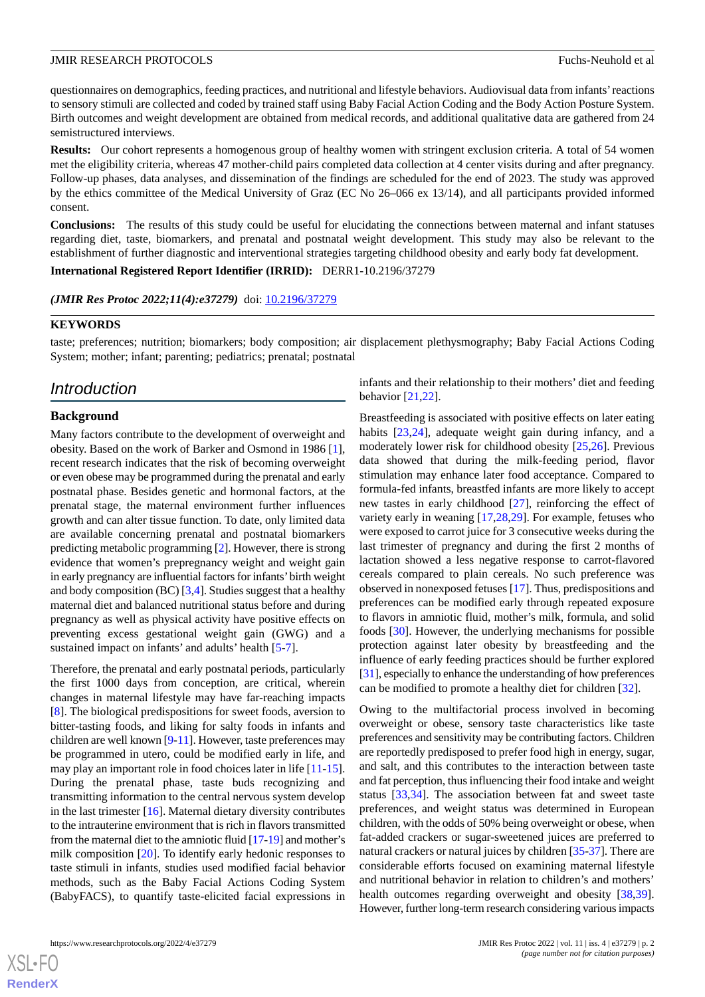questionnaires on demographics, feeding practices, and nutritional and lifestyle behaviors. Audiovisual data from infants'reactions to sensory stimuli are collected and coded by trained staff using Baby Facial Action Coding and the Body Action Posture System. Birth outcomes and weight development are obtained from medical records, and additional qualitative data are gathered from 24 semistructured interviews.

**Results:** Our cohort represents a homogenous group of healthy women with stringent exclusion criteria. A total of 54 women met the eligibility criteria, whereas 47 mother-child pairs completed data collection at 4 center visits during and after pregnancy. Follow-up phases, data analyses, and dissemination of the findings are scheduled for the end of 2023. The study was approved by the ethics committee of the Medical University of Graz (EC No 26–066 ex 13/14), and all participants provided informed consent.

**Conclusions:** The results of this study could be useful for elucidating the connections between maternal and infant statuses regarding diet, taste, biomarkers, and prenatal and postnatal weight development. This study may also be relevant to the establishment of further diagnostic and interventional strategies targeting childhood obesity and early body fat development.

**International Registered Report Identifier (IRRID):** DERR1-10.2196/37279

(JMIR Res Protoc 2022;11(4):e37279) doi: [10.2196/37279](http://dx.doi.org/10.2196/37279)

# **KEYWORDS**

taste; preferences; nutrition; biomarkers; body composition; air displacement plethysmography; Baby Facial Actions Coding System; mother; infant; parenting; pediatrics; prenatal; postnatal

# *Introduction*

#### **Background**

Many factors contribute to the development of overweight and obesity. Based on the work of Barker and Osmond in 1986 [[1\]](#page-9-0), recent research indicates that the risk of becoming overweight or even obese may be programmed during the prenatal and early postnatal phase. Besides genetic and hormonal factors, at the prenatal stage, the maternal environment further influences growth and can alter tissue function. To date, only limited data are available concerning prenatal and postnatal biomarkers predicting metabolic programming [\[2\]](#page-9-1). However, there is strong evidence that women's prepregnancy weight and weight gain in early pregnancy are influential factors for infants'birth weight and body composition (BC) [[3,](#page-10-0)[4\]](#page-10-1). Studies suggest that a healthy maternal diet and balanced nutritional status before and during pregnancy as well as physical activity have positive effects on preventing excess gestational weight gain (GWG) and a sustained impact on infants' and adults' health [[5](#page-10-2)[-7](#page-10-3)].

Therefore, the prenatal and early postnatal periods, particularly the first 1000 days from conception, are critical, wherein changes in maternal lifestyle may have far-reaching impacts [[8\]](#page-10-4). The biological predispositions for sweet foods, aversion to bitter-tasting foods, and liking for salty foods in infants and children are well known [[9-](#page-10-5)[11\]](#page-10-6). However, taste preferences may be programmed in utero, could be modified early in life, and may play an important role in food choices later in life [\[11](#page-10-6)-[15\]](#page-10-7). During the prenatal phase, taste buds recognizing and transmitting information to the central nervous system develop in the last trimester [\[16](#page-10-8)]. Maternal dietary diversity contributes to the intrauterine environment that is rich in flavors transmitted from the maternal diet to the amniotic fluid [\[17](#page-10-9)[-19](#page-10-10)] and mother's milk composition [\[20](#page-10-11)]. To identify early hedonic responses to taste stimuli in infants, studies used modified facial behavior methods, such as the Baby Facial Actions Coding System (BabyFACS), to quantify taste-elicited facial expressions in

infants and their relationship to their mothers' diet and feeding behavior [\[21](#page-10-12),[22\]](#page-10-13).

Breastfeeding is associated with positive effects on later eating habits [[23,](#page-10-14)[24\]](#page-10-15), adequate weight gain during infancy, and a moderately lower risk for childhood obesity [[25](#page-10-16)[,26](#page-10-17)]. Previous data showed that during the milk-feeding period, flavor stimulation may enhance later food acceptance. Compared to formula-fed infants, breastfed infants are more likely to accept new tastes in early childhood [\[27](#page-10-18)], reinforcing the effect of variety early in weaning [\[17](#page-10-9)[,28](#page-10-19),[29\]](#page-11-0). For example, fetuses who were exposed to carrot juice for 3 consecutive weeks during the last trimester of pregnancy and during the first 2 months of lactation showed a less negative response to carrot-flavored cereals compared to plain cereals. No such preference was observed in nonexposed fetuses [[17\]](#page-10-9). Thus, predispositions and preferences can be modified early through repeated exposure to flavors in amniotic fluid, mother's milk, formula, and solid foods [\[30](#page-11-1)]. However, the underlying mechanisms for possible protection against later obesity by breastfeeding and the influence of early feeding practices should be further explored [[31\]](#page-11-2), especially to enhance the understanding of how preferences can be modified to promote a healthy diet for children [[32\]](#page-11-3).

Owing to the multifactorial process involved in becoming overweight or obese, sensory taste characteristics like taste preferences and sensitivity may be contributing factors. Children are reportedly predisposed to prefer food high in energy, sugar, and salt, and this contributes to the interaction between taste and fat perception, thus influencing their food intake and weight status [\[33](#page-11-4),[34\]](#page-11-5). The association between fat and sweet taste preferences, and weight status was determined in European children, with the odds of 50% being overweight or obese, when fat-added crackers or sugar-sweetened juices are preferred to natural crackers or natural juices by children [\[35](#page-11-6)[-37](#page-11-7)]. There are considerable efforts focused on examining maternal lifestyle and nutritional behavior in relation to children's and mothers' health outcomes regarding overweight and obesity [\[38](#page-11-8),[39\]](#page-11-9). However, further long-term research considering various impacts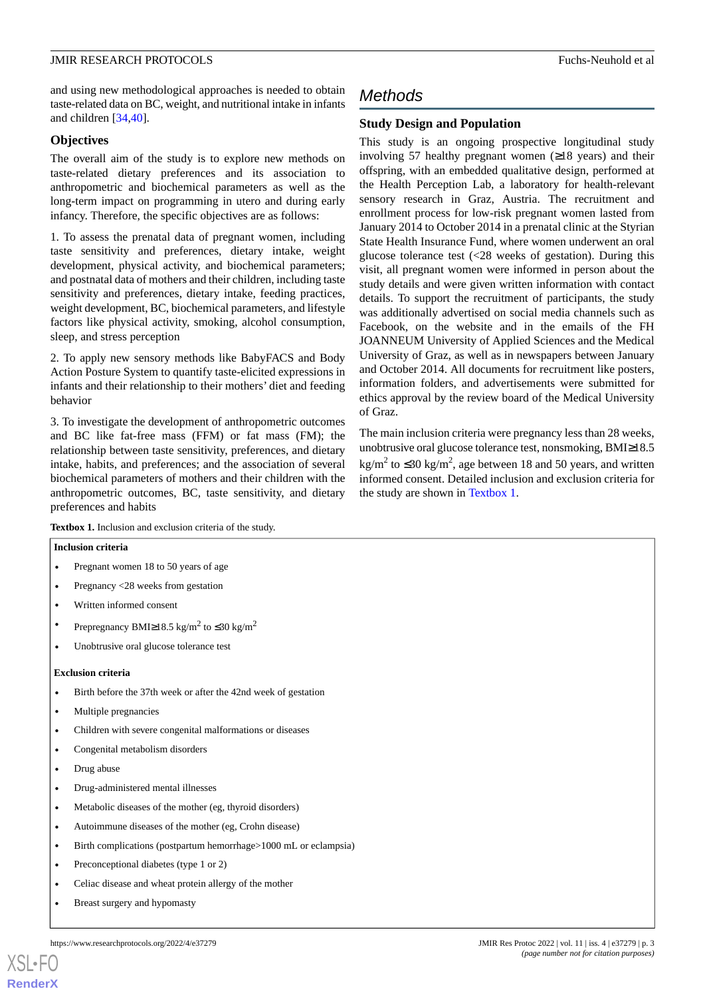and using new methodological approaches is needed to obtain taste-related data on BC, weight, and nutritional intake in infants and children [\[34](#page-11-5),[40\]](#page-11-10).

# **Objectives**

The overall aim of the study is to explore new methods on taste-related dietary preferences and its association to anthropometric and biochemical parameters as well as the long-term impact on programming in utero and during early infancy. Therefore, the specific objectives are as follows:

1. To assess the prenatal data of pregnant women, including taste sensitivity and preferences, dietary intake, weight development, physical activity, and biochemical parameters; and postnatal data of mothers and their children, including taste sensitivity and preferences, dietary intake, feeding practices, weight development, BC, biochemical parameters, and lifestyle factors like physical activity, smoking, alcohol consumption, sleep, and stress perception

2. To apply new sensory methods like BabyFACS and Body Action Posture System to quantify taste-elicited expressions in infants and their relationship to their mothers' diet and feeding behavior

3. To investigate the development of anthropometric outcomes and BC like fat-free mass (FFM) or fat mass (FM); the relationship between taste sensitivity, preferences, and dietary intake, habits, and preferences; and the association of several biochemical parameters of mothers and their children with the anthropometric outcomes, BC, taste sensitivity, and dietary preferences and habits

# *Methods*

# **Study Design and Population**

This study is an ongoing prospective longitudinal study involving 57 healthy pregnant women  $(≥18$  years) and their offspring, with an embedded qualitative design, performed at the Health Perception Lab, a laboratory for health-relevant sensory research in Graz, Austria. The recruitment and enrollment process for low-risk pregnant women lasted from January 2014 to October 2014 in a prenatal clinic at the Styrian State Health Insurance Fund, where women underwent an oral glucose tolerance test (<28 weeks of gestation). During this visit, all pregnant women were informed in person about the study details and were given written information with contact details. To support the recruitment of participants, the study was additionally advertised on social media channels such as Facebook, on the website and in the emails of the FH JOANNEUM University of Applied Sciences and the Medical University of Graz, as well as in newspapers between January and October 2014. All documents for recruitment like posters, information folders, and advertisements were submitted for ethics approval by the review board of the Medical University of Graz.

The main inclusion criteria were pregnancy less than 28 weeks, unobtrusive oral glucose tolerance test, nonsmoking, BMI≥18.5 kg/m<sup>2</sup> to  $\leq$ 30 kg/m<sup>2</sup>, age between 18 and 50 years, and written informed consent. Detailed inclusion and exclusion criteria for the study are shown in [Textbox 1.](#page-2-0)

<span id="page-2-0"></span>**Textbox 1.** Inclusion and exclusion criteria of the study.

#### **Inclusion criteria**

- Pregnant women 18 to 50 years of age
- Pregnancy  $\langle 28 \rangle$  weeks from gestation
- Written informed consent
- Prepregnancy BMI≥18.5 kg/m<sup>2</sup> to ≤30 kg/m<sup>2</sup>
- Unobtrusive oral glucose tolerance test

# **Exclusion criteria**

- Birth before the 37th week or after the 42nd week of gestation
- Multiple pregnancies
- Children with severe congenital malformations or diseases
- Congenital metabolism disorders
- Drug abuse

- Drug-administered mental illnesses
- Metabolic diseases of the mother (eg, thyroid disorders)
- Autoimmune diseases of the mother (eg, Crohn disease)
- Birth complications (postpartum hemorrhage>1000 mL or eclampsia)
- Preconceptional diabetes (type 1 or 2)
- Celiac disease and wheat protein allergy of the mother
- Breast surgery and hypomasty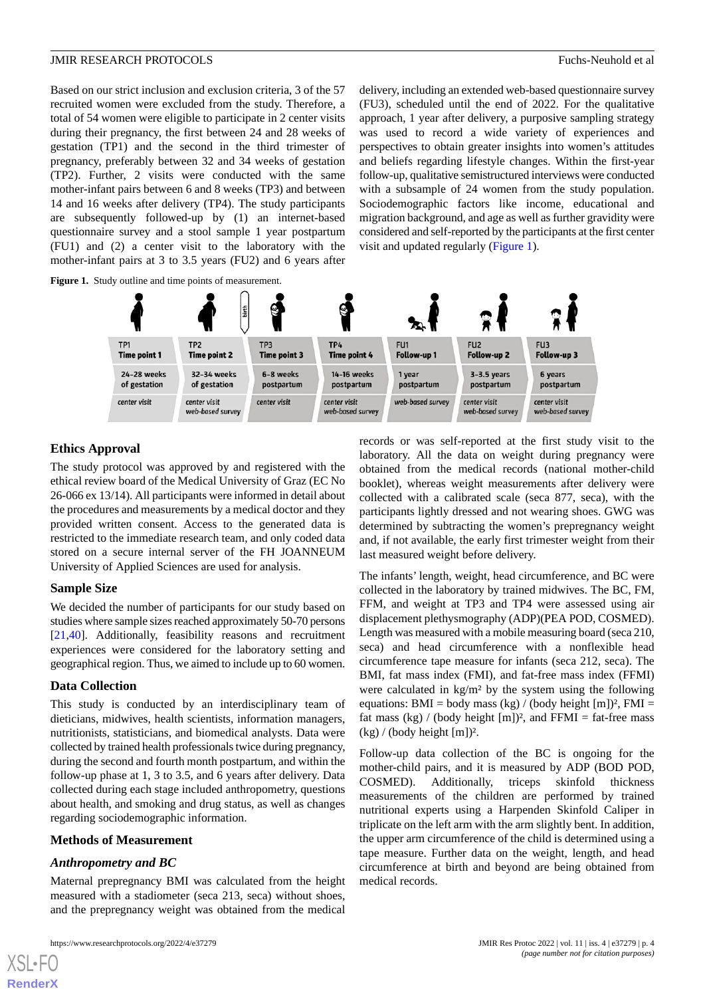Based on our strict inclusion and exclusion criteria, 3 of the 57 recruited women were excluded from the study. Therefore, a total of 54 women were eligible to participate in 2 center visits during their pregnancy, the first between 24 and 28 weeks of gestation (TP1) and the second in the third trimester of pregnancy, preferably between 32 and 34 weeks of gestation (TP2). Further, 2 visits were conducted with the same mother-infant pairs between 6 and 8 weeks (TP3) and between 14 and 16 weeks after delivery (TP4). The study participants are subsequently followed-up by (1) an internet-based questionnaire survey and a stool sample 1 year postpartum (FU1) and (2) a center visit to the laboratory with the mother-infant pairs at 3 to 3.5 years (FU2) and 6 years after delivery, including an extended web-based questionnaire survey (FU3), scheduled until the end of 2022. For the qualitative approach, 1 year after delivery, a purposive sampling strategy was used to record a wide variety of experiences and perspectives to obtain greater insights into women's attitudes and beliefs regarding lifestyle changes. Within the first-year follow-up, qualitative semistructured interviews were conducted with a subsample of 24 women from the study population. Sociodemographic factors like income, educational and migration background, and age as well as further gravidity were considered and self-reported by the participants at the first center visit and updated regularly [\(Figure 1\)](#page-3-0).

<span id="page-3-0"></span>

# **Ethics Approval**

The study protocol was approved by and registered with the ethical review board of the Medical University of Graz (EC No 26-066 ex 13/14). All participants were informed in detail about the procedures and measurements by a medical doctor and they provided written consent. Access to the generated data is restricted to the immediate research team, and only coded data stored on a secure internal server of the FH JOANNEUM University of Applied Sciences are used for analysis.

# **Sample Size**

We decided the number of participants for our study based on studies where sample sizes reached approximately 50-70 persons [[21](#page-10-12)[,40](#page-11-10)]. Additionally, feasibility reasons and recruitment experiences were considered for the laboratory setting and geographical region. Thus, we aimed to include up to 60 women.

# **Data Collection**

This study is conducted by an interdisciplinary team of dieticians, midwives, health scientists, information managers, nutritionists, statisticians, and biomedical analysts. Data were collected by trained health professionals twice during pregnancy, during the second and fourth month postpartum, and within the follow-up phase at 1, 3 to 3.5, and 6 years after delivery. Data collected during each stage included anthropometry, questions about health, and smoking and drug status, as well as changes regarding sociodemographic information.

#### **Methods of Measurement**

# *Anthropometry and BC*

[XSL](http://www.w3.org/Style/XSL)•FO **[RenderX](http://www.renderx.com/)**

Maternal prepregnancy BMI was calculated from the height measured with a stadiometer (seca 213, seca) without shoes, and the prepregnancy weight was obtained from the medical

records or was self-reported at the first study visit to the laboratory. All the data on weight during pregnancy were obtained from the medical records (national mother-child booklet), whereas weight measurements after delivery were collected with a calibrated scale (seca 877, seca), with the participants lightly dressed and not wearing shoes. GWG was determined by subtracting the women's prepregnancy weight and, if not available, the early first trimester weight from their last measured weight before delivery.

The infants' length, weight, head circumference, and BC were collected in the laboratory by trained midwives. The BC, FM, FFM, and weight at TP3 and TP4 were assessed using air displacement plethysmography (ADP)(PEA POD, COSMED). Length was measured with a mobile measuring board (seca 210, seca) and head circumference with a nonflexible head circumference tape measure for infants (seca 212, seca). The BMI, fat mass index (FMI), and fat-free mass index (FFMI) were calculated in kg/m² by the system using the following equations: BMI = body mass (kg) / (body height  $[m])^2$ , FMI = fat mass  $(kg) / (body height [m])^2$ , and FFMI = fat-free mass  $(kg) / (body height [m])^2$ .

Follow-up data collection of the BC is ongoing for the mother-child pairs, and it is measured by ADP (BOD POD, COSMED). Additionally, triceps skinfold thickness measurements of the children are performed by trained nutritional experts using a Harpenden Skinfold Caliper in triplicate on the left arm with the arm slightly bent. In addition, the upper arm circumference of the child is determined using a tape measure. Further data on the weight, length, and head circumference at birth and beyond are being obtained from medical records.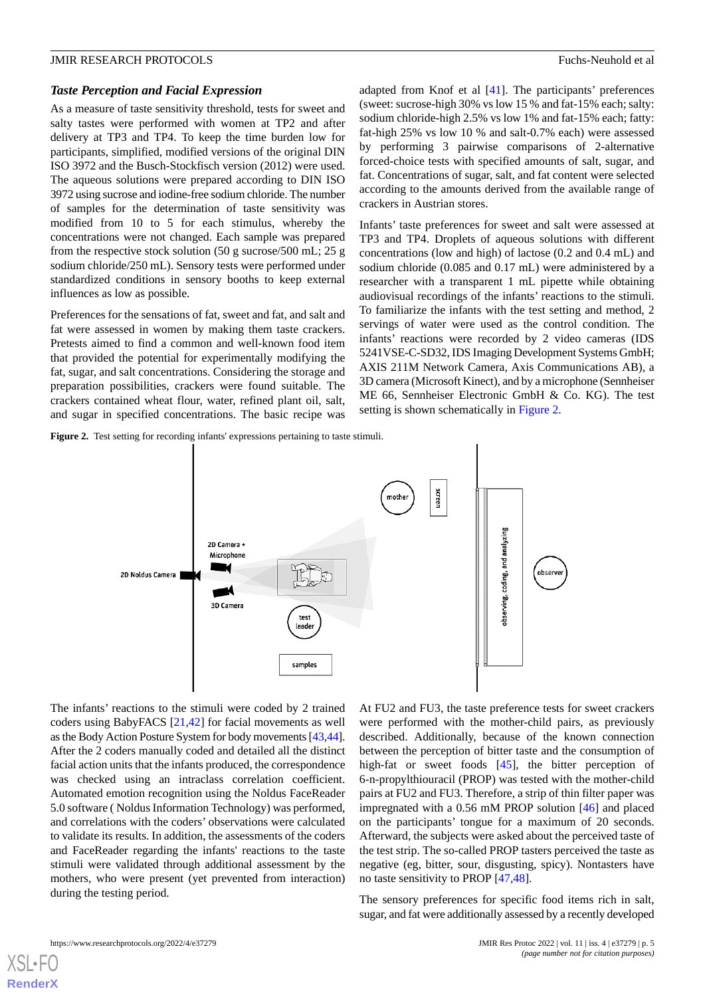#### *Taste Perception and Facial Expression*

As a measure of taste sensitivity threshold, tests for sweet and salty tastes were performed with women at TP2 and after delivery at TP3 and TP4. To keep the time burden low for participants, simplified, modified versions of the original DIN ISO 3972 and the Busch-Stockfisch version (2012) were used. The aqueous solutions were prepared according to DIN ISO 3972 using sucrose and iodine-free sodium chloride. The number of samples for the determination of taste sensitivity was modified from 10 to 5 for each stimulus, whereby the concentrations were not changed. Each sample was prepared from the respective stock solution (50 g sucrose/500 mL; 25 g sodium chloride/250 mL). Sensory tests were performed under standardized conditions in sensory booths to keep external influences as low as possible.

Preferences for the sensations of fat, sweet and fat, and salt and fat were assessed in women by making them taste crackers. Pretests aimed to find a common and well-known food item that provided the potential for experimentally modifying the fat, sugar, and salt concentrations. Considering the storage and preparation possibilities, crackers were found suitable. The crackers contained wheat flour, water, refined plant oil, salt, and sugar in specified concentrations. The basic recipe was adapted from Knof et al [[41\]](#page-11-11). The participants' preferences (sweet: sucrose-high 30% vs low 15 % and fat-15% each; salty: sodium chloride-high 2.5% vs low 1% and fat-15% each; fatty: fat-high 25% vs low 10 % and salt-0.7% each) were assessed by performing 3 pairwise comparisons of 2-alternative forced-choice tests with specified amounts of salt, sugar, and fat. Concentrations of sugar, salt, and fat content were selected according to the amounts derived from the available range of crackers in Austrian stores.

Infants' taste preferences for sweet and salt were assessed at TP3 and TP4. Droplets of aqueous solutions with different concentrations (low and high) of lactose (0.2 and 0.4 mL) and sodium chloride (0.085 and 0.17 mL) were administered by a researcher with a transparent 1 mL pipette while obtaining audiovisual recordings of the infants' reactions to the stimuli. To familiarize the infants with the test setting and method, 2 servings of water were used as the control condition. The infants' reactions were recorded by 2 video cameras (IDS 5241VSE-C-SD32, IDS Imaging Development Systems GmbH; AXIS 211M Network Camera, Axis Communications AB), a 3D camera (Microsoft Kinect), and by a microphone (Sennheiser ME 66, Sennheiser Electronic GmbH & Co. KG). The test setting is shown schematically in [Figure 2.](#page-4-0)

<span id="page-4-0"></span>Figure 2. Test setting for recording infants' expressions pertaining to taste stimuli.



The infants' reactions to the stimuli were coded by 2 trained coders using BabyFACS [[21](#page-10-12)[,42](#page-11-12)] for facial movements as well as the Body Action Posture System for body movements [\[43](#page-11-13)[,44\]](#page-11-14). After the 2 coders manually coded and detailed all the distinct facial action units that the infants produced, the correspondence was checked using an intraclass correlation coefficient. Automated emotion recognition using the Noldus FaceReader 5.0 software ( Noldus Information Technology) was performed, and correlations with the coders' observations were calculated to validate its results. In addition, the assessments of the coders and FaceReader regarding the infants' reactions to the taste stimuli were validated through additional assessment by the mothers, who were present (yet prevented from interaction) during the testing period.

At FU2 and FU3, the taste preference tests for sweet crackers were performed with the mother-child pairs, as previously described. Additionally, because of the known connection between the perception of bitter taste and the consumption of high-fat or sweet foods [\[45](#page-11-15)], the bitter perception of 6-n-propylthiouracil (PROP) was tested with the mother-child pairs at FU2 and FU3. Therefore, a strip of thin filter paper was impregnated with a 0.56 mM PROP solution [\[46](#page-11-16)] and placed on the participants' tongue for a maximum of 20 seconds. Afterward, the subjects were asked about the perceived taste of the test strip. The so-called PROP tasters perceived the taste as negative (eg, bitter, sour, disgusting, spicy). Nontasters have no taste sensitivity to PROP [\[47](#page-11-17),[48\]](#page-11-18).

The sensory preferences for specific food items rich in salt, sugar, and fat were additionally assessed by a recently developed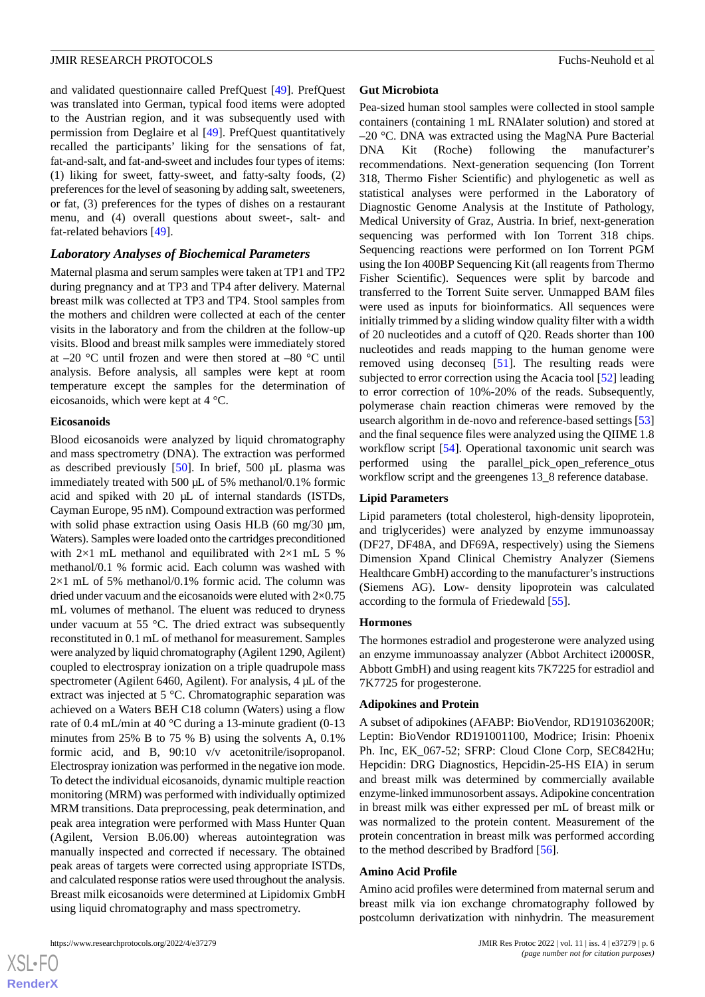and validated questionnaire called PrefQuest [\[49](#page-11-19)]. PrefQuest was translated into German, typical food items were adopted to the Austrian region, and it was subsequently used with permission from Deglaire et al [[49\]](#page-11-19). PrefQuest quantitatively recalled the participants' liking for the sensations of fat, fat-and-salt, and fat-and-sweet and includes four types of items: (1) liking for sweet, fatty-sweet, and fatty-salty foods, (2) preferences for the level of seasoning by adding salt, sweeteners, or fat, (3) preferences for the types of dishes on a restaurant menu, and (4) overall questions about sweet-, salt- and fat-related behaviors [\[49](#page-11-19)].

# *Laboratory Analyses of Biochemical Parameters*

Maternal plasma and serum samples were taken at TP1 and TP2 during pregnancy and at TP3 and TP4 after delivery. Maternal breast milk was collected at TP3 and TP4. Stool samples from the mothers and children were collected at each of the center visits in the laboratory and from the children at the follow-up visits. Blood and breast milk samples were immediately stored at –20 °C until frozen and were then stored at –80 °C until analysis. Before analysis, all samples were kept at room temperature except the samples for the determination of eicosanoids, which were kept at 4 °C.

#### **Eicosanoids**

Blood eicosanoids were analyzed by liquid chromatography and mass spectrometry (DNA). The extraction was performed as described previously [\[50](#page-11-20)]. In brief, 500 μL plasma was immediately treated with 500 µL of 5% methanol/0.1% formic acid and spiked with 20 μL of internal standards (ISTDs, Cayman Europe, 95 nM). Compound extraction was performed with solid phase extraction using Oasis HLB (60 mg/30 μm, Waters). Samples were loaded onto the cartridges preconditioned with  $2\times1$  mL methanol and equilibrated with  $2\times1$  mL 5 % methanol/0.1 % formic acid. Each column was washed with  $2\times1$  mL of 5% methanol/0.1% formic acid. The column was dried under vacuum and the eicosanoids were eluted with  $2\times0.75$ mL volumes of methanol. The eluent was reduced to dryness under vacuum at 55 °C. The dried extract was subsequently reconstituted in 0.1 mL of methanol for measurement. Samples were analyzed by liquid chromatography (Agilent 1290, Agilent) coupled to electrospray ionization on a triple quadrupole mass spectrometer (Agilent 6460, Agilent). For analysis, 4 μL of the extract was injected at 5 °C. Chromatographic separation was achieved on a Waters BEH C18 column (Waters) using a flow rate of 0.4 mL/min at 40 °C during a 13-minute gradient (0-13 minutes from 25% B to 75 % B) using the solvents A, 0.1% formic acid, and B, 90:10 v/v acetonitrile/isopropanol. Electrospray ionization was performed in the negative ion mode. To detect the individual eicosanoids, dynamic multiple reaction monitoring (MRM) was performed with individually optimized MRM transitions. Data preprocessing, peak determination, and peak area integration were performed with Mass Hunter Quan (Agilent, Version B.06.00) whereas autointegration was manually inspected and corrected if necessary. The obtained peak areas of targets were corrected using appropriate ISTDs, and calculated response ratios were used throughout the analysis. Breast milk eicosanoids were determined at Lipidomix GmbH using liquid chromatography and mass spectrometry.

#### **Gut Microbiota**

Pea-sized human stool samples were collected in stool sample containers (containing 1 mL RNAlater solution) and stored at –20 °C. DNA was extracted using the MagNA Pure Bacterial DNA Kit (Roche) following the manufacturer's recommendations. Next-generation sequencing (Ion Torrent 318, Thermo Fisher Scientific) and phylogenetic as well as statistical analyses were performed in the Laboratory of Diagnostic Genome Analysis at the Institute of Pathology, Medical University of Graz, Austria. In brief, next-generation sequencing was performed with Ion Torrent 318 chips. Sequencing reactions were performed on Ion Torrent PGM using the Ion 400BP Sequencing Kit (all reagents from Thermo Fisher Scientific). Sequences were split by barcode and transferred to the Torrent Suite server. Unmapped BAM files were used as inputs for bioinformatics. All sequences were initially trimmed by a sliding window quality filter with a width of 20 nucleotides and a cutoff of Q20. Reads shorter than 100 nucleotides and reads mapping to the human genome were removed using deconseq [[51\]](#page-11-21). The resulting reads were subjected to error correction using the Acacia tool [[52\]](#page-11-22) leading to error correction of 10%-20% of the reads. Subsequently, polymerase chain reaction chimeras were removed by the usearch algorithm in de-novo and reference-based settings [\[53](#page-12-0)] and the final sequence files were analyzed using the QIIME 1.8 workflow script [\[54](#page-12-1)]. Operational taxonomic unit search was performed using the parallel\_pick\_open\_reference\_otus workflow script and the greengenes 13\_8 reference database.

# **Lipid Parameters**

Lipid parameters (total cholesterol, high-density lipoprotein, and triglycerides) were analyzed by enzyme immunoassay (DF27, DF48A, and DF69A, respectively) using the Siemens Dimension Xpand Clinical Chemistry Analyzer (Siemens Healthcare GmbH) according to the manufacturer's instructions (Siemens AG). Low- density lipoprotein was calculated according to the formula of Friedewald [\[55](#page-12-2)].

# **Hormones**

The hormones estradiol and progesterone were analyzed using an enzyme immunoassay analyzer (Abbot Architect i2000SR, Abbott GmbH) and using reagent kits 7K7225 for estradiol and 7K7725 for progesterone.

#### **Adipokines and Protein**

A subset of adipokines (AFABP: BioVendor, RD191036200R; Leptin: BioVendor RD191001100, Modrice; Irisin: Phoenix Ph. Inc, EK\_067-52; SFRP: Cloud Clone Corp, SEC842Hu; Hepcidin: DRG Diagnostics, Hepcidin-25-HS EIA) in serum and breast milk was determined by commercially available enzyme-linked immunosorbent assays. Adipokine concentration in breast milk was either expressed per mL of breast milk or was normalized to the protein content. Measurement of the protein concentration in breast milk was performed according to the method described by Bradford [\[56](#page-12-3)].

#### **Amino Acid Profile**

Amino acid profiles were determined from maternal serum and breast milk via ion exchange chromatography followed by postcolumn derivatization with ninhydrin. The measurement

 $XS$  $\cdot$ FC **[RenderX](http://www.renderx.com/)**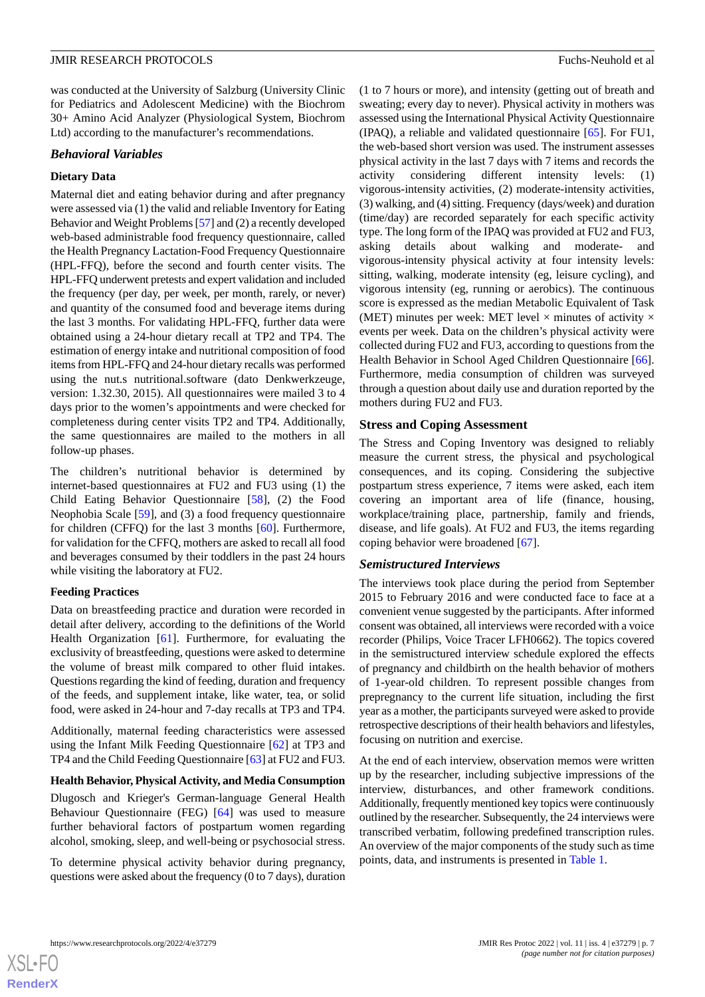was conducted at the University of Salzburg (University Clinic for Pediatrics and Adolescent Medicine) with the Biochrom 30+ Amino Acid Analyzer (Physiological System, Biochrom Ltd) according to the manufacturer's recommendations.

#### *Behavioral Variables*

#### **Dietary Data**

Maternal diet and eating behavior during and after pregnancy were assessed via (1) the valid and reliable Inventory for Eating Behavior and Weight Problems [\[57\]](#page-12-4) and (2) a recently developed web-based administrable food frequency questionnaire, called the Health Pregnancy Lactation-Food Frequency Questionnaire (HPL-FFQ), before the second and fourth center visits. The HPL-FFQ underwent pretests and expert validation and included the frequency (per day, per week, per month, rarely, or never) and quantity of the consumed food and beverage items during the last 3 months. For validating HPL-FFQ, further data were obtained using a 24-hour dietary recall at TP2 and TP4. The estimation of energy intake and nutritional composition of food items from HPL-FFQ and 24-hour dietary recalls was performed using the nut.s nutritional.software (dato Denkwerkzeuge, version: 1.32.30, 2015). All questionnaires were mailed 3 to 4 days prior to the women's appointments and were checked for completeness during center visits TP2 and TP4. Additionally, the same questionnaires are mailed to the mothers in all follow-up phases.

The children's nutritional behavior is determined by internet-based questionnaires at FU2 and FU3 using (1) the Child Eating Behavior Questionnaire [\[58](#page-12-5)], (2) the Food Neophobia Scale [[59\]](#page-12-6), and (3) a food frequency questionnaire for children (CFFQ) for the last 3 months [\[60](#page-12-7)]. Furthermore, for validation for the CFFQ, mothers are asked to recall all food and beverages consumed by their toddlers in the past 24 hours while visiting the laboratory at FU2.

#### **Feeding Practices**

Data on breastfeeding practice and duration were recorded in detail after delivery, according to the definitions of the World Health Organization [[61\]](#page-12-8). Furthermore, for evaluating the exclusivity of breastfeeding, questions were asked to determine the volume of breast milk compared to other fluid intakes. Questions regarding the kind of feeding, duration and frequency of the feeds, and supplement intake, like water, tea, or solid food, were asked in 24-hour and 7-day recalls at TP3 and TP4.

Additionally, maternal feeding characteristics were assessed using the Infant Milk Feeding Questionnaire [\[62](#page-12-9)] at TP3 and TP4 and the Child Feeding Questionnaire [\[63](#page-12-10)] at FU2 and FU3.

#### **Health Behavior, Physical Activity, and Media Consumption**

Dlugosch and Krieger's German-language General Health Behaviour Questionnaire (FEG) [[64\]](#page-12-11) was used to measure further behavioral factors of postpartum women regarding alcohol, smoking, sleep, and well-being or psychosocial stress.

To determine physical activity behavior during pregnancy, questions were asked about the frequency (0 to 7 days), duration (1 to 7 hours or more), and intensity (getting out of breath and sweating; every day to never). Physical activity in mothers was assessed using the International Physical Activity Questionnaire (IPAQ), a reliable and validated questionnaire [\[65](#page-12-12)]. For FU1, the web-based short version was used. The instrument assesses physical activity in the last 7 days with 7 items and records the activity considering different intensity levels: (1) vigorous-intensity activities, (2) moderate-intensity activities, (3) walking, and (4) sitting. Frequency (days/week) and duration (time/day) are recorded separately for each specific activity type. The long form of the IPAQ was provided at FU2 and FU3, asking details about walking and moderate- and vigorous-intensity physical activity at four intensity levels: sitting, walking, moderate intensity (eg, leisure cycling), and vigorous intensity (eg, running or aerobics). The continuous score is expressed as the median Metabolic Equivalent of Task (MET) minutes per week: MET level  $\times$  minutes of activity  $\times$ events per week. Data on the children's physical activity were collected during FU2 and FU3, according to questions from the Health Behavior in School Aged Children Questionnaire [[66\]](#page-12-13). Furthermore, media consumption of children was surveyed through a question about daily use and duration reported by the mothers during FU2 and FU3.

# **Stress and Coping Assessment**

The Stress and Coping Inventory was designed to reliably measure the current stress, the physical and psychological consequences, and its coping. Considering the subjective postpartum stress experience, 7 items were asked, each item covering an important area of life (finance, housing, workplace/training place, partnership, family and friends, disease, and life goals). At FU2 and FU3, the items regarding coping behavior were broadened [\[67](#page-12-14)].

#### *Semistructured Interviews*

The interviews took place during the period from September 2015 to February 2016 and were conducted face to face at a convenient venue suggested by the participants. After informed consent was obtained, all interviews were recorded with a voice recorder (Philips, Voice Tracer LFH0662). The topics covered in the semistructured interview schedule explored the effects of pregnancy and childbirth on the health behavior of mothers of 1-year-old children. To represent possible changes from prepregnancy to the current life situation, including the first year as a mother, the participants surveyed were asked to provide retrospective descriptions of their health behaviors and lifestyles, focusing on nutrition and exercise.

At the end of each interview, observation memos were written up by the researcher, including subjective impressions of the interview, disturbances, and other framework conditions. Additionally, frequently mentioned key topics were continuously outlined by the researcher. Subsequently, the 24 interviews were transcribed verbatim, following predefined transcription rules. An overview of the major components of the study such as time points, data, and instruments is presented in [Table 1.](#page-7-0)

 $XS$  $\cdot$ FC **[RenderX](http://www.renderx.com/)**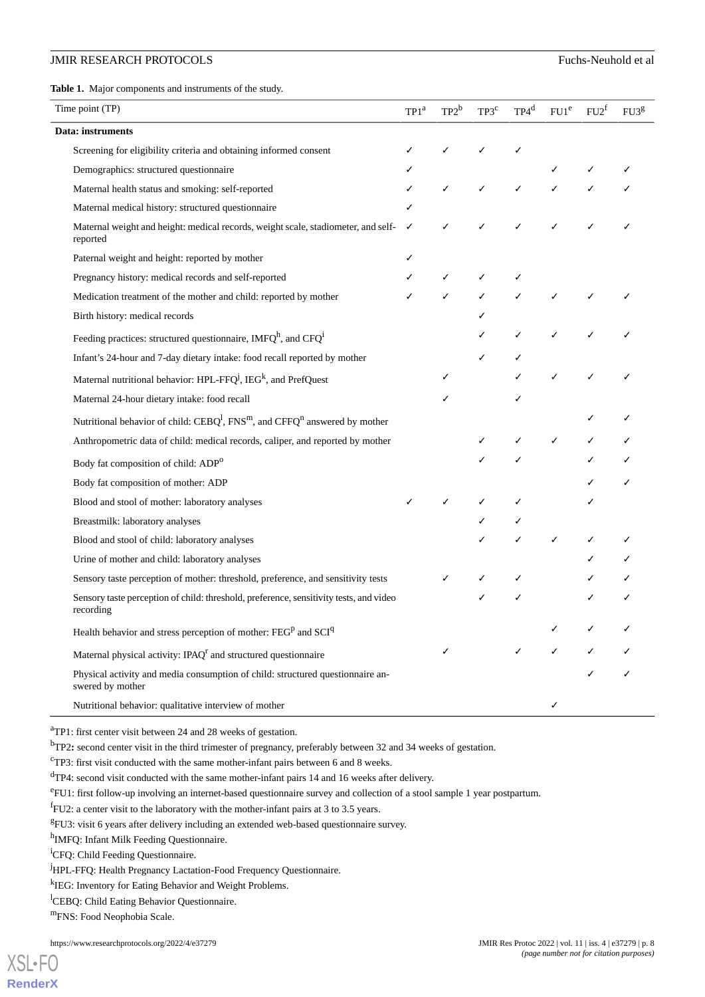<span id="page-7-0"></span>**Table 1.** Major components and instruments of the study.

| TP1 <sup>a</sup> | $TP2^b$ | TP3 <sup>c</sup> | $TP4^d$ | FU1 <sup>e</sup> | $FU2^t$ | FU3 <sup>g</sup> |
|------------------|---------|------------------|---------|------------------|---------|------------------|
|                  |         |                  |         |                  |         |                  |
|                  |         |                  |         |                  |         |                  |
|                  |         |                  |         |                  |         |                  |
|                  | ✓       | ✓                | ✓       |                  |         |                  |
|                  |         |                  |         |                  |         |                  |
| ✓                |         |                  |         |                  |         |                  |
|                  |         |                  |         |                  |         |                  |
|                  | ✓       | ✓                |         |                  |         |                  |
| ✓                |         |                  |         |                  |         |                  |
|                  |         |                  |         |                  |         |                  |
|                  |         |                  | ✓       | ✓                |         |                  |
|                  |         |                  |         |                  |         |                  |
|                  |         |                  |         |                  |         |                  |
|                  |         |                  |         |                  |         |                  |
|                  |         |                  |         |                  |         |                  |
|                  |         |                  |         | ✓                | ✓       |                  |
|                  |         |                  |         |                  |         |                  |
|                  |         |                  |         |                  |         | ✓                |
|                  |         |                  |         |                  |         |                  |
|                  |         |                  |         |                  |         |                  |
|                  |         |                  |         | ✓                |         |                  |
|                  |         |                  |         |                  |         |                  |
|                  |         |                  |         |                  |         |                  |
|                  |         |                  |         |                  |         |                  |
|                  |         |                  |         |                  |         |                  |
|                  |         |                  |         | ✓                | ✓       | ✓                |
|                  |         |                  |         |                  |         |                  |
|                  |         |                  |         |                  |         |                  |
|                  |         |                  |         |                  |         |                  |

<sup>a</sup>TP1: first center visit between 24 and 28 weeks of gestation.

<sup>b</sup>TP2: second center visit in the third trimester of pregnancy, preferably between 32 and 34 weeks of gestation.

<sup>c</sup>TP3: first visit conducted with the same mother-infant pairs between 6 and 8 weeks.

<sup>d</sup>TP4: second visit conducted with the same mother-infant pairs 14 and 16 weeks after delivery.

eFU1: first follow-up involving an internet-based questionnaire survey and collection of a stool sample 1 year postpartum.

 ${}^f$ FU2: a center visit to the laboratory with the mother-infant pairs at 3 to 3.5 years.

<sup>g</sup>FU3: visit 6 years after delivery including an extended web-based questionnaire survey.

<sup>h</sup>IMFQ: Infant Milk Feeding Questionnaire.

<sup>i</sup>CFQ: Child Feeding Questionnaire.

<sup>j</sup>HPL-FFQ: Health Pregnancy Lactation-Food Frequency Questionnaire.

<sup>k</sup>IEG: Inventory for Eating Behavior and Weight Problems.

<sup>1</sup>CEBO: Child Eating Behavior Questionnaire.

<sup>m</sup>FNS: Food Neophobia Scale.

[XSL](http://www.w3.org/Style/XSL)•FO **[RenderX](http://www.renderx.com/)**

https://www.researchprotocols.org/2022/4/e37279 JMIR Res Protoc 2022 | vol. 11 | iss. 4 | e37279 | p. 8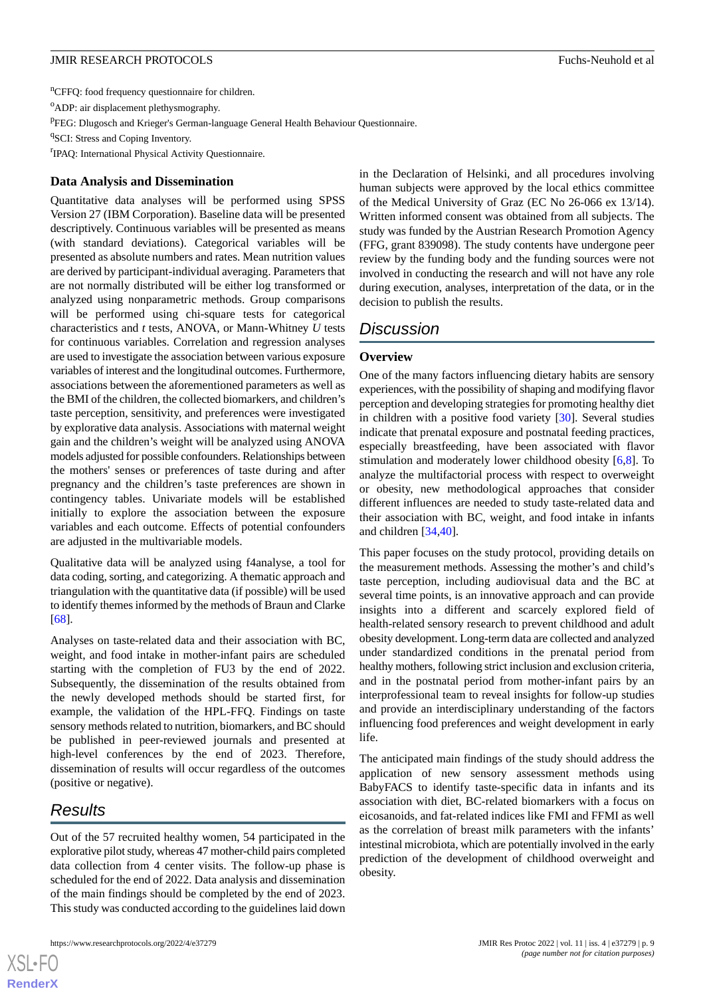<sup>n</sup>CFFQ: food frequency questionnaire for children.

<sup>o</sup>ADP: air displacement plethysmography.

PFEG: Dlugosch and Krieger's German-language General Health Behaviour Questionnaire.

<sup>q</sup>SCI: Stress and Coping Inventory.

<sup>r</sup>IPAQ: International Physical Activity Questionnaire.

### **Data Analysis and Dissemination**

Quantitative data analyses will be performed using SPSS Version 27 (IBM Corporation). Baseline data will be presented descriptively. Continuous variables will be presented as means (with standard deviations). Categorical variables will be presented as absolute numbers and rates. Mean nutrition values are derived by participant-individual averaging. Parameters that are not normally distributed will be either log transformed or analyzed using nonparametric methods. Group comparisons will be performed using chi-square tests for categorical characteristics and *t* tests, ANOVA, or Mann-Whitney *U* tests for continuous variables. Correlation and regression analyses are used to investigate the association between various exposure variables of interest and the longitudinal outcomes. Furthermore, associations between the aforementioned parameters as well as the BMI of the children, the collected biomarkers, and children's taste perception, sensitivity, and preferences were investigated by explorative data analysis. Associations with maternal weight gain and the children's weight will be analyzed using ANOVA models adjusted for possible confounders. Relationships between the mothers' senses or preferences of taste during and after pregnancy and the children's taste preferences are shown in contingency tables. Univariate models will be established initially to explore the association between the exposure variables and each outcome. Effects of potential confounders are adjusted in the multivariable models.

Qualitative data will be analyzed using f4analyse, a tool for data coding, sorting, and categorizing. A thematic approach and triangulation with the quantitative data (if possible) will be used to identify themes informed by the methods of Braun and Clarke [[68\]](#page-12-15).

Analyses on taste-related data and their association with BC, weight, and food intake in mother-infant pairs are scheduled starting with the completion of FU3 by the end of 2022. Subsequently, the dissemination of the results obtained from the newly developed methods should be started first, for example, the validation of the HPL-FFQ. Findings on taste sensory methods related to nutrition, biomarkers, and BC should be published in peer-reviewed journals and presented at high-level conferences by the end of 2023. Therefore, dissemination of results will occur regardless of the outcomes (positive or negative).

# *Results*

 $XS$  $\cdot$ FC **[RenderX](http://www.renderx.com/)**

Out of the 57 recruited healthy women, 54 participated in the explorative pilot study, whereas 47 mother-child pairs completed data collection from 4 center visits. The follow-up phase is scheduled for the end of 2022. Data analysis and dissemination of the main findings should be completed by the end of 2023. This study was conducted according to the guidelines laid down

in the Declaration of Helsinki, and all procedures involving human subjects were approved by the local ethics committee of the Medical University of Graz (EC No 26-066 ex 13/14). Written informed consent was obtained from all subjects. The study was funded by the Austrian Research Promotion Agency (FFG, grant 839098). The study contents have undergone peer review by the funding body and the funding sources were not involved in conducting the research and will not have any role during execution, analyses, interpretation of the data, or in the decision to publish the results.

# *Discussion*

# **Overview**

One of the many factors influencing dietary habits are sensory experiences, with the possibility of shaping and modifying flavor perception and developing strategies for promoting healthy diet in children with a positive food variety [\[30](#page-11-1)]. Several studies indicate that prenatal exposure and postnatal feeding practices, especially breastfeeding, have been associated with flavor stimulation and moderately lower childhood obesity [\[6](#page-10-20),[8\]](#page-10-4). To analyze the multifactorial process with respect to overweight or obesity, new methodological approaches that consider different influences are needed to study taste-related data and their association with BC, weight, and food intake in infants and children [\[34](#page-11-5),[40\]](#page-11-10).

This paper focuses on the study protocol, providing details on the measurement methods. Assessing the mother's and child's taste perception, including audiovisual data and the BC at several time points, is an innovative approach and can provide insights into a different and scarcely explored field of health-related sensory research to prevent childhood and adult obesity development. Long-term data are collected and analyzed under standardized conditions in the prenatal period from healthy mothers, following strict inclusion and exclusion criteria, and in the postnatal period from mother-infant pairs by an interprofessional team to reveal insights for follow-up studies and provide an interdisciplinary understanding of the factors influencing food preferences and weight development in early life.

The anticipated main findings of the study should address the application of new sensory assessment methods using BabyFACS to identify taste-specific data in infants and its association with diet, BC-related biomarkers with a focus on eicosanoids, and fat-related indices like FMI and FFMI as well as the correlation of breast milk parameters with the infants' intestinal microbiota, which are potentially involved in the early prediction of the development of childhood overweight and obesity.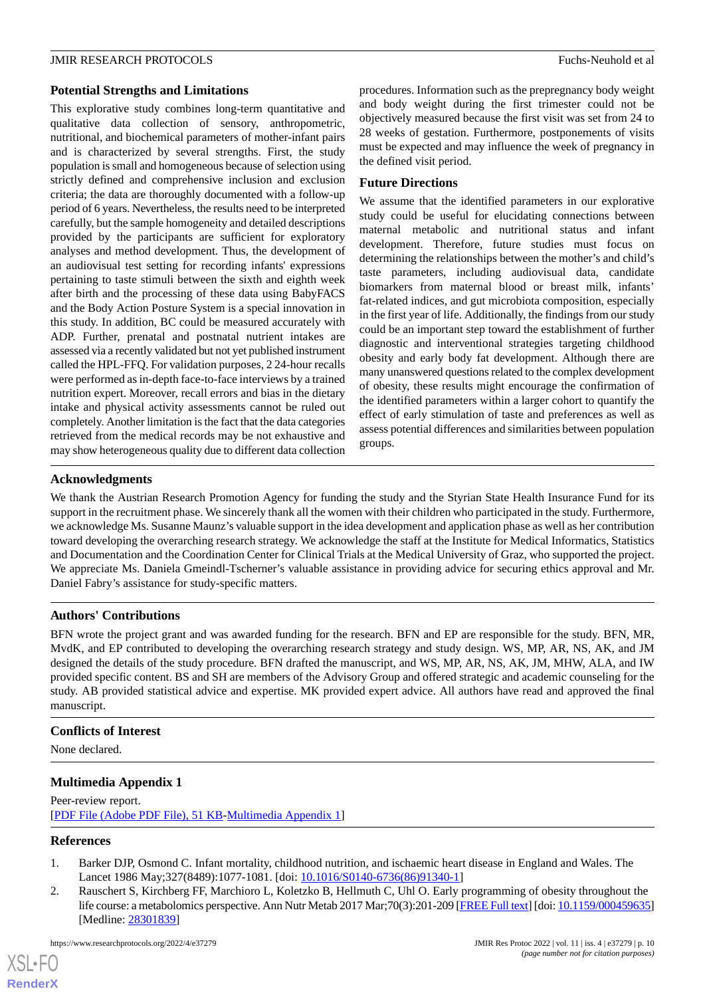# **Potential Strengths and Limitations**

This explorative study combines long-term quantitative and qualitative data collection of sensory, anthropometric, nutritional, and biochemical parameters of mother-infant pairs and is characterized by several strengths. First, the study population is small and homogeneous because of selection using strictly defined and comprehensive inclusion and exclusion criteria; the data are thoroughly documented with a follow-up period of 6 years. Nevertheless, the results need to be interpreted carefully, but the sample homogeneity and detailed descriptions provided by the participants are sufficient for exploratory analyses and method development. Thus, the development of an audiovisual test setting for recording infants' expressions pertaining to taste stimuli between the sixth and eighth week after birth and the processing of these data using BabyFACS and the Body Action Posture System is a special innovation in this study. In addition, BC could be measured accurately with ADP. Further, prenatal and postnatal nutrient intakes are assessed via a recently validated but not yet published instrument called the HPL-FFQ. For validation purposes, 2 24-hour recalls were performed as in-depth face-to-face interviews by a trained nutrition expert. Moreover, recall errors and bias in the dietary intake and physical activity assessments cannot be ruled out completely. Another limitation is the fact that the data categories retrieved from the medical records may be not exhaustive and may show heterogeneous quality due to different data collection

procedures. Information such as the prepregnancy body weight and body weight during the first trimester could not be objectively measured because the first visit was set from 24 to 28 weeks of gestation. Furthermore, postponements of visits must be expected and may influence the week of pregnancy in the defined visit period.

### **Future Directions**

We assume that the identified parameters in our explorative study could be useful for elucidating connections between maternal metabolic and nutritional status and infant development. Therefore, future studies must focus on determining the relationships between the mother's and child's taste parameters, including audiovisual data, candidate biomarkers from maternal blood or breast milk, infants' fat-related indices, and gut microbiota composition, especially in the first year of life. Additionally, the findings from our study could be an important step toward the establishment of further diagnostic and interventional strategies targeting childhood obesity and early body fat development. Although there are many unanswered questions related to the complex development of obesity, these results might encourage the confirmation of the identified parameters within a larger cohort to quantify the effect of early stimulation of taste and preferences as well as assess potential differences and similarities between population groups.

#### **Acknowledgments**

We thank the Austrian Research Promotion Agency for funding the study and the Styrian State Health Insurance Fund for its support in the recruitment phase. We sincerely thank all the women with their children who participated in the study. Furthermore, we acknowledge Ms. Susanne Maunz's valuable support in the idea development and application phase as well as her contribution toward developing the overarching research strategy. We acknowledge the staff at the Institute for Medical Informatics, Statistics and Documentation and the Coordination Center for Clinical Trials at the Medical University of Graz, who supported the project. We appreciate Ms. Daniela Gmeindl-Tscherner's valuable assistance in providing advice for securing ethics approval and Mr. Daniel Fabry's assistance for study-specific matters.

# **Authors' Contributions**

BFN wrote the project grant and was awarded funding for the research. BFN and EP are responsible for the study. BFN, MR, MvdK, and EP contributed to developing the overarching research strategy and study design. WS, MP, AR, NS, AK, and JM designed the details of the study procedure. BFN drafted the manuscript, and WS, MP, AR, NS, AK, JM, MHW, ALA, and IW provided specific content. BS and SH are members of the Advisory Group and offered strategic and academic counseling for the study. AB provided statistical advice and expertise. MK provided expert advice. All authors have read and approved the final manuscript.

#### **Conflicts of Interest**

None declared.

# <span id="page-9-0"></span>**Multimedia Appendix 1**

<span id="page-9-1"></span>Peer-review report. [[PDF File \(Adobe PDF File\), 51 KB](https://jmir.org/api/download?alt_name=resprot_v11i4e37279_app1.pdf&filename=babb8355a64bb63bf978c1539ae40728.pdf)-[Multimedia Appendix 1\]](https://jmir.org/api/download?alt_name=resprot_v11i4e37279_app1.pdf&filename=babb8355a64bb63bf978c1539ae40728.pdf)

#### **References**

- 1. Barker DJP, Osmond C. Infant mortality, childhood nutrition, and ischaemic heart disease in England and Wales. The Lancet 1986 May;327(8489):1077-1081. [doi: [10.1016/S0140-6736\(86\)91340-1](http://dx.doi.org/10.1016/S0140-6736(86)91340-1)]
- 2. Rauschert S, Kirchberg FF, Marchioro L, Koletzko B, Hellmuth C, Uhl O. Early programming of obesity throughout the life course: a metabolomics perspective. Ann Nutr Metab 2017 Mar;70(3):201-209 [\[FREE Full text](https://www.karger.com?DOI=10.1159/000459635)] [doi: [10.1159/000459635\]](http://dx.doi.org/10.1159/000459635) [Medline: [28301839](http://www.ncbi.nlm.nih.gov/entrez/query.fcgi?cmd=Retrieve&db=PubMed&list_uids=28301839&dopt=Abstract)]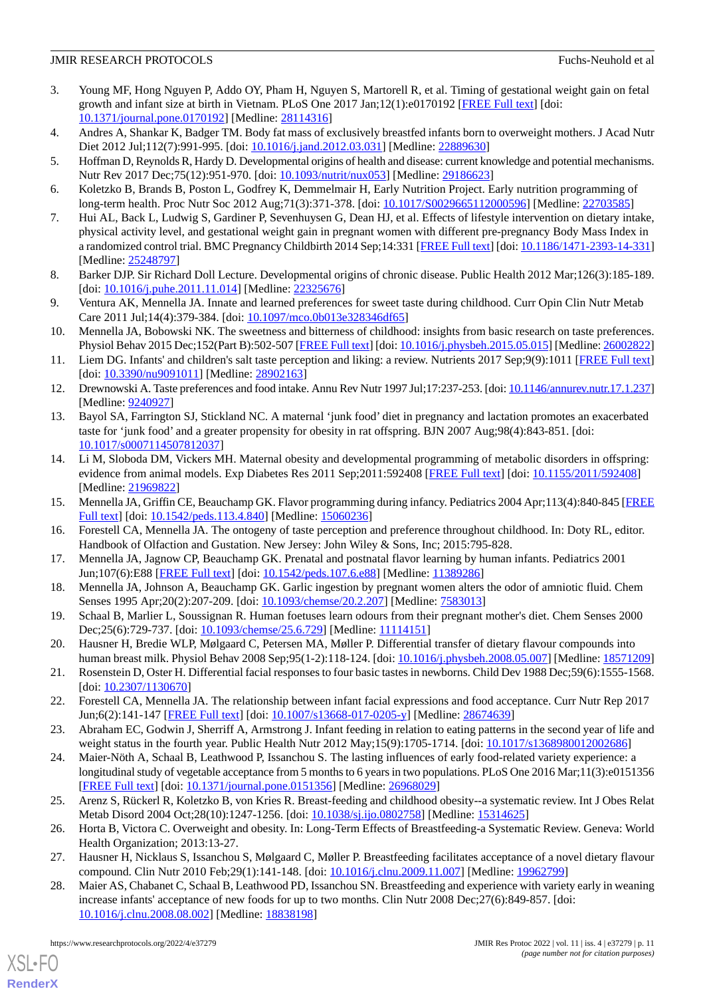- <span id="page-10-0"></span>3. Young MF, Hong Nguyen P, Addo OY, Pham H, Nguyen S, Martorell R, et al. Timing of gestational weight gain on fetal growth and infant size at birth in Vietnam. PLoS One 2017 Jan;12(1):e0170192 [\[FREE Full text\]](https://dx.plos.org/10.1371/journal.pone.0170192) [doi: [10.1371/journal.pone.0170192\]](http://dx.doi.org/10.1371/journal.pone.0170192) [Medline: [28114316](http://www.ncbi.nlm.nih.gov/entrez/query.fcgi?cmd=Retrieve&db=PubMed&list_uids=28114316&dopt=Abstract)]
- <span id="page-10-2"></span><span id="page-10-1"></span>4. Andres A, Shankar K, Badger TM. Body fat mass of exclusively breastfed infants born to overweight mothers. J Acad Nutr Diet 2012 Jul;112(7):991-995. [doi: [10.1016/j.jand.2012.03.031\]](http://dx.doi.org/10.1016/j.jand.2012.03.031) [Medline: [22889630](http://www.ncbi.nlm.nih.gov/entrez/query.fcgi?cmd=Retrieve&db=PubMed&list_uids=22889630&dopt=Abstract)]
- <span id="page-10-20"></span>5. Hoffman D, Reynolds R, Hardy D. Developmental origins of health and disease: current knowledge and potential mechanisms. Nutr Rev 2017 Dec; 75(12): 951-970. [doi: [10.1093/nutrit/nux053\]](http://dx.doi.org/10.1093/nutrit/nux053) [Medline: [29186623\]](http://www.ncbi.nlm.nih.gov/entrez/query.fcgi?cmd=Retrieve&db=PubMed&list_uids=29186623&dopt=Abstract)
- <span id="page-10-3"></span>6. Koletzko B, Brands B, Poston L, Godfrey K, Demmelmair H, Early Nutrition Project. Early nutrition programming of long-term health. Proc Nutr Soc 2012 Aug;71(3):371-378. [doi: [10.1017/S0029665112000596\]](http://dx.doi.org/10.1017/S0029665112000596) [Medline: [22703585](http://www.ncbi.nlm.nih.gov/entrez/query.fcgi?cmd=Retrieve&db=PubMed&list_uids=22703585&dopt=Abstract)]
- 7. Hui AL, Back L, Ludwig S, Gardiner P, Sevenhuysen G, Dean HJ, et al. Effects of lifestyle intervention on dietary intake, physical activity level, and gestational weight gain in pregnant women with different pre-pregnancy Body Mass Index in a randomized control trial. BMC Pregnancy Childbirth 2014 Sep;14:331 [\[FREE Full text\]](https://bmcpregnancychildbirth.biomedcentral.com/articles/10.1186/1471-2393-14-331) [doi: [10.1186/1471-2393-14-331\]](http://dx.doi.org/10.1186/1471-2393-14-331) [Medline: [25248797](http://www.ncbi.nlm.nih.gov/entrez/query.fcgi?cmd=Retrieve&db=PubMed&list_uids=25248797&dopt=Abstract)]
- <span id="page-10-5"></span><span id="page-10-4"></span>8. Barker DJP. Sir Richard Doll Lecture. Developmental origins of chronic disease. Public Health 2012 Mar;126(3):185-189. [doi: [10.1016/j.puhe.2011.11.014](http://dx.doi.org/10.1016/j.puhe.2011.11.014)] [Medline: [22325676](http://www.ncbi.nlm.nih.gov/entrez/query.fcgi?cmd=Retrieve&db=PubMed&list_uids=22325676&dopt=Abstract)]
- 9. Ventura AK, Mennella JA. Innate and learned preferences for sweet taste during childhood. Curr Opin Clin Nutr Metab Care 2011 Jul;14(4):379-384. [doi: [10.1097/mco.0b013e328346df65\]](http://dx.doi.org/10.1097/mco.0b013e328346df65)
- <span id="page-10-6"></span>10. Mennella JA, Bobowski NK. The sweetness and bitterness of childhood: insights from basic research on taste preferences. Physiol Behav 2015 Dec;152(Part B):502-507 [\[FREE Full text\]](http://europepmc.org/abstract/MED/26002822) [doi: [10.1016/j.physbeh.2015.05.015](http://dx.doi.org/10.1016/j.physbeh.2015.05.015)] [Medline: [26002822](http://www.ncbi.nlm.nih.gov/entrez/query.fcgi?cmd=Retrieve&db=PubMed&list_uids=26002822&dopt=Abstract)]
- 11. Liem DG. Infants' and children's salt taste perception and liking: a review. Nutrients 2017 Sep;9(9):1011 [\[FREE Full text](https://www.mdpi.com/resolver?pii=nu9091011)] [doi: [10.3390/nu9091011](http://dx.doi.org/10.3390/nu9091011)] [Medline: [28902163\]](http://www.ncbi.nlm.nih.gov/entrez/query.fcgi?cmd=Retrieve&db=PubMed&list_uids=28902163&dopt=Abstract)
- 12. Drewnowski A. Taste preferences and food intake. Annu Rev Nutr 1997 Jul;17:237-253. [doi: [10.1146/annurev.nutr.17.1.237\]](http://dx.doi.org/10.1146/annurev.nutr.17.1.237) [Medline: [9240927\]](http://www.ncbi.nlm.nih.gov/entrez/query.fcgi?cmd=Retrieve&db=PubMed&list_uids=9240927&dopt=Abstract)
- 13. Bayol SA, Farrington SJ, Stickland NC. A maternal 'junk food' diet in pregnancy and lactation promotes an exacerbated taste for 'junk food' and a greater propensity for obesity in rat offspring. BJN 2007 Aug;98(4):843-851. [doi: [10.1017/s0007114507812037\]](http://dx.doi.org/10.1017/s0007114507812037)
- <span id="page-10-8"></span><span id="page-10-7"></span>14. Li M, Sloboda DM, Vickers MH. Maternal obesity and developmental programming of metabolic disorders in offspring: evidence from animal models. Exp Diabetes Res 2011 Sep;2011:592408 [\[FREE Full text\]](https://doi.org/10.1155/2011/592408) [doi: [10.1155/2011/592408](http://dx.doi.org/10.1155/2011/592408)] [Medline: [21969822](http://www.ncbi.nlm.nih.gov/entrez/query.fcgi?cmd=Retrieve&db=PubMed&list_uids=21969822&dopt=Abstract)]
- <span id="page-10-9"></span>15. Mennella JA, Griffin CE, Beauchamp GK. Flavor programming during infancy. Pediatrics 2004 Apr;113(4):840-845 [\[FREE](http://europepmc.org/abstract/MED/15060236) [Full text\]](http://europepmc.org/abstract/MED/15060236) [doi: [10.1542/peds.113.4.840](http://dx.doi.org/10.1542/peds.113.4.840)] [Medline: [15060236](http://www.ncbi.nlm.nih.gov/entrez/query.fcgi?cmd=Retrieve&db=PubMed&list_uids=15060236&dopt=Abstract)]
- 16. Forestell CA, Mennella JA. The ontogeny of taste perception and preference throughout childhood. In: Doty RL, editor. Handbook of Olfaction and Gustation. New Jersey: John Wiley & Sons, Inc; 2015:795-828.
- <span id="page-10-10"></span>17. Mennella JA, Jagnow CP, Beauchamp GK. Prenatal and postnatal flavor learning by human infants. Pediatrics 2001 Jun;107(6):E88 [[FREE Full text\]](http://europepmc.org/abstract/MED/11389286) [doi: [10.1542/peds.107.6.e88\]](http://dx.doi.org/10.1542/peds.107.6.e88) [Medline: [11389286\]](http://www.ncbi.nlm.nih.gov/entrez/query.fcgi?cmd=Retrieve&db=PubMed&list_uids=11389286&dopt=Abstract)
- <span id="page-10-11"></span>18. Mennella JA, Johnson A, Beauchamp GK. Garlic ingestion by pregnant women alters the odor of amniotic fluid. Chem Senses 1995 Apr;20(2):207-209. [doi: [10.1093/chemse/20.2.207](http://dx.doi.org/10.1093/chemse/20.2.207)] [Medline: [7583013](http://www.ncbi.nlm.nih.gov/entrez/query.fcgi?cmd=Retrieve&db=PubMed&list_uids=7583013&dopt=Abstract)]
- <span id="page-10-12"></span>19. Schaal B, Marlier L, Soussignan R. Human foetuses learn odours from their pregnant mother's diet. Chem Senses 2000 Dec; 25(6): 729-737. [doi: [10.1093/chemse/25.6.729\]](http://dx.doi.org/10.1093/chemse/25.6.729) [Medline: [11114151](http://www.ncbi.nlm.nih.gov/entrez/query.fcgi?cmd=Retrieve&db=PubMed&list_uids=11114151&dopt=Abstract)]
- <span id="page-10-14"></span><span id="page-10-13"></span>20. Hausner H, Bredie WLP, Mølgaard C, Petersen MA, Møller P. Differential transfer of dietary flavour compounds into human breast milk. Physiol Behav 2008 Sep;95(1-2):118-124. [doi: [10.1016/j.physbeh.2008.05.007](http://dx.doi.org/10.1016/j.physbeh.2008.05.007)] [Medline: [18571209](http://www.ncbi.nlm.nih.gov/entrez/query.fcgi?cmd=Retrieve&db=PubMed&list_uids=18571209&dopt=Abstract)]
- <span id="page-10-15"></span>21. Rosenstein D, Oster H. Differential facial responses to four basic tastes in newborns. Child Dev 1988 Dec;59(6):1555-1568. [doi: [10.2307/1130670](http://dx.doi.org/10.2307/1130670)]
- 22. Forestell CA, Mennella JA. The relationship between infant facial expressions and food acceptance. Curr Nutr Rep 2017 Jun;6(2):141-147 [[FREE Full text](http://europepmc.org/abstract/MED/28674639)] [doi: [10.1007/s13668-017-0205-y\]](http://dx.doi.org/10.1007/s13668-017-0205-y) [Medline: [28674639](http://www.ncbi.nlm.nih.gov/entrez/query.fcgi?cmd=Retrieve&db=PubMed&list_uids=28674639&dopt=Abstract)]
- <span id="page-10-16"></span>23. Abraham EC, Godwin J, Sherriff A, Armstrong J. Infant feeding in relation to eating patterns in the second year of life and weight status in the fourth year. Public Health Nutr 2012 May;15(9):1705-1714. [doi: [10.1017/s1368980012002686](http://dx.doi.org/10.1017/s1368980012002686)]
- <span id="page-10-18"></span><span id="page-10-17"></span>24. Maier-Nöth A, Schaal B, Leathwood P, Issanchou S. The lasting influences of early food-related variety experience: a longitudinal study of vegetable acceptance from 5 months to 6 years in two populations. PLoS One 2016 Mar;11(3):e0151356 [[FREE Full text](https://dx.plos.org/10.1371/journal.pone.0151356)] [doi: [10.1371/journal.pone.0151356](http://dx.doi.org/10.1371/journal.pone.0151356)] [Medline: [26968029](http://www.ncbi.nlm.nih.gov/entrez/query.fcgi?cmd=Retrieve&db=PubMed&list_uids=26968029&dopt=Abstract)]
- <span id="page-10-19"></span>25. Arenz S, Rückerl R, Koletzko B, von Kries R. Breast-feeding and childhood obesity--a systematic review. Int J Obes Relat Metab Disord 2004 Oct;28(10):1247-1256. [doi: [10.1038/sj.ijo.0802758\]](http://dx.doi.org/10.1038/sj.ijo.0802758) [Medline: [15314625\]](http://www.ncbi.nlm.nih.gov/entrez/query.fcgi?cmd=Retrieve&db=PubMed&list_uids=15314625&dopt=Abstract)
- 26. Horta B, Victora C. Overweight and obesity. In: Long-Term Effects of Breastfeeding-a Systematic Review. Geneva: World Health Organization; 2013:13-27.
- 27. Hausner H, Nicklaus S, Issanchou S, Mølgaard C, Møller P. Breastfeeding facilitates acceptance of a novel dietary flavour compound. Clin Nutr 2010 Feb;29(1):141-148. [doi: [10.1016/j.clnu.2009.11.007](http://dx.doi.org/10.1016/j.clnu.2009.11.007)] [Medline: [19962799\]](http://www.ncbi.nlm.nih.gov/entrez/query.fcgi?cmd=Retrieve&db=PubMed&list_uids=19962799&dopt=Abstract)
- 28. Maier AS, Chabanet C, Schaal B, Leathwood PD, Issanchou SN. Breastfeeding and experience with variety early in weaning increase infants' acceptance of new foods for up to two months. Clin Nutr 2008 Dec;27(6):849-857. [doi: [10.1016/j.clnu.2008.08.002\]](http://dx.doi.org/10.1016/j.clnu.2008.08.002) [Medline: [18838198\]](http://www.ncbi.nlm.nih.gov/entrez/query.fcgi?cmd=Retrieve&db=PubMed&list_uids=18838198&dopt=Abstract)

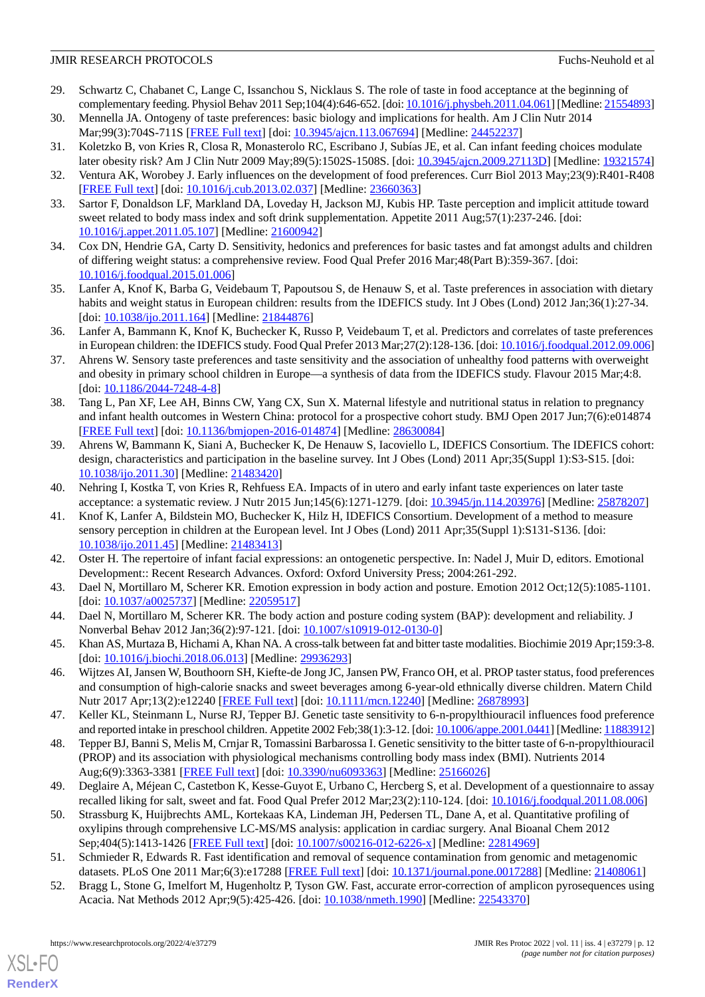- <span id="page-11-0"></span>29. Schwartz C, Chabanet C, Lange C, Issanchou S, Nicklaus S. The role of taste in food acceptance at the beginning of complementary feeding. Physiol Behav 2011 Sep;104(4):646-652. [doi: [10.1016/j.physbeh.2011.04.061\]](http://dx.doi.org/10.1016/j.physbeh.2011.04.061) [Medline: [21554893\]](http://www.ncbi.nlm.nih.gov/entrez/query.fcgi?cmd=Retrieve&db=PubMed&list_uids=21554893&dopt=Abstract)
- <span id="page-11-2"></span><span id="page-11-1"></span>30. Mennella JA. Ontogeny of taste preferences: basic biology and implications for health. Am J Clin Nutr 2014 Mar;99(3):704S-711S [[FREE Full text](http://europepmc.org/abstract/MED/24452237)] [doi: [10.3945/ajcn.113.067694](http://dx.doi.org/10.3945/ajcn.113.067694)] [Medline: [24452237](http://www.ncbi.nlm.nih.gov/entrez/query.fcgi?cmd=Retrieve&db=PubMed&list_uids=24452237&dopt=Abstract)]
- <span id="page-11-3"></span>31. Koletzko B, von Kries R, Closa R, Monasterolo RC, Escribano J, Subías JE, et al. Can infant feeding choices modulate later obesity risk? Am J Clin Nutr 2009 May;89(5):1502S-1508S. [doi: [10.3945/ajcn.2009.27113D\]](http://dx.doi.org/10.3945/ajcn.2009.27113D) [Medline: [19321574](http://www.ncbi.nlm.nih.gov/entrez/query.fcgi?cmd=Retrieve&db=PubMed&list_uids=19321574&dopt=Abstract)]
- <span id="page-11-4"></span>32. Ventura AK, Worobey J. Early influences on the development of food preferences. Curr Biol 2013 May;23(9):R401-R408 [[FREE Full text](https://linkinghub.elsevier.com/retrieve/pii/S0960-9822(13)00208-X)] [doi: [10.1016/j.cub.2013.02.037\]](http://dx.doi.org/10.1016/j.cub.2013.02.037) [Medline: [23660363](http://www.ncbi.nlm.nih.gov/entrez/query.fcgi?cmd=Retrieve&db=PubMed&list_uids=23660363&dopt=Abstract)]
- <span id="page-11-5"></span>33. Sartor F, Donaldson LF, Markland DA, Loveday H, Jackson MJ, Kubis HP. Taste perception and implicit attitude toward sweet related to body mass index and soft drink supplementation. Appetite 2011 Aug;57(1):237-246. [doi: [10.1016/j.appet.2011.05.107](http://dx.doi.org/10.1016/j.appet.2011.05.107)] [Medline: [21600942](http://www.ncbi.nlm.nih.gov/entrez/query.fcgi?cmd=Retrieve&db=PubMed&list_uids=21600942&dopt=Abstract)]
- <span id="page-11-6"></span>34. Cox DN, Hendrie GA, Carty D. Sensitivity, hedonics and preferences for basic tastes and fat amongst adults and children of differing weight status: a comprehensive review. Food Qual Prefer 2016 Mar;48(Part B):359-367. [doi: [10.1016/j.foodqual.2015.01.006](http://dx.doi.org/10.1016/j.foodqual.2015.01.006)]
- 35. Lanfer A, Knof K, Barba G, Veidebaum T, Papoutsou S, de Henauw S, et al. Taste preferences in association with dietary habits and weight status in European children: results from the IDEFICS study. Int J Obes (Lond) 2012 Jan;36(1):27-34. [doi: [10.1038/ijo.2011.164\]](http://dx.doi.org/10.1038/ijo.2011.164) [Medline: [21844876\]](http://www.ncbi.nlm.nih.gov/entrez/query.fcgi?cmd=Retrieve&db=PubMed&list_uids=21844876&dopt=Abstract)
- <span id="page-11-7"></span>36. Lanfer A, Bammann K, Knof K, Buchecker K, Russo P, Veidebaum T, et al. Predictors and correlates of taste preferences in European children: the IDEFICS study. Food Qual Prefer 2013 Mar;27(2):128-136. [doi: [10.1016/j.foodqual.2012.09.006](http://dx.doi.org/10.1016/j.foodqual.2012.09.006)]
- <span id="page-11-8"></span>37. Ahrens W. Sensory taste preferences and taste sensitivity and the association of unhealthy food patterns with overweight and obesity in primary school children in Europe—a synthesis of data from the IDEFICS study. Flavour 2015 Mar;4:8. [doi: [10.1186/2044-7248-4-8](http://dx.doi.org/10.1186/2044-7248-4-8)]
- <span id="page-11-9"></span>38. Tang L, Pan XF, Lee AH, Binns CW, Yang CX, Sun X. Maternal lifestyle and nutritional status in relation to pregnancy and infant health outcomes in Western China: protocol for a prospective cohort study. BMJ Open 2017 Jun;7(6):e014874 [[FREE Full text](https://bmjopen.bmj.com/lookup/pmidlookup?view=long&pmid=28630084)] [doi: [10.1136/bmjopen-2016-014874](http://dx.doi.org/10.1136/bmjopen-2016-014874)] [Medline: [28630084](http://www.ncbi.nlm.nih.gov/entrez/query.fcgi?cmd=Retrieve&db=PubMed&list_uids=28630084&dopt=Abstract)]
- <span id="page-11-11"></span><span id="page-11-10"></span>39. Ahrens W, Bammann K, Siani A, Buchecker K, De Henauw S, Iacoviello L, IDEFICS Consortium. The IDEFICS cohort: design, characteristics and participation in the baseline survey. Int J Obes (Lond) 2011 Apr;35(Suppl 1):S3-S15. [doi: [10.1038/ijo.2011.30](http://dx.doi.org/10.1038/ijo.2011.30)] [Medline: [21483420](http://www.ncbi.nlm.nih.gov/entrez/query.fcgi?cmd=Retrieve&db=PubMed&list_uids=21483420&dopt=Abstract)]
- 40. Nehring I, Kostka T, von Kries R, Rehfuess EA. Impacts of in utero and early infant taste experiences on later taste acceptance: a systematic review. J Nutr 2015 Jun;145(6):1271-1279. [doi: [10.3945/jn.114.203976\]](http://dx.doi.org/10.3945/jn.114.203976) [Medline: [25878207\]](http://www.ncbi.nlm.nih.gov/entrez/query.fcgi?cmd=Retrieve&db=PubMed&list_uids=25878207&dopt=Abstract)
- <span id="page-11-13"></span><span id="page-11-12"></span>41. Knof K, Lanfer A, Bildstein MO, Buchecker K, Hilz H, IDEFICS Consortium. Development of a method to measure sensory perception in children at the European level. Int J Obes (Lond) 2011 Apr;35(Suppl 1):S131-S136. [doi: [10.1038/ijo.2011.45](http://dx.doi.org/10.1038/ijo.2011.45)] [Medline: [21483413](http://www.ncbi.nlm.nih.gov/entrez/query.fcgi?cmd=Retrieve&db=PubMed&list_uids=21483413&dopt=Abstract)]
- <span id="page-11-14"></span>42. Oster H. The repertoire of infant facial expressions: an ontogenetic perspective. In: Nadel J, Muir D, editors. Emotional Development:: Recent Research Advances. Oxford: Oxford University Press; 2004:261-292.
- <span id="page-11-15"></span>43. Dael N, Mortillaro M, Scherer KR. Emotion expression in body action and posture. Emotion 2012 Oct;12(5):1085-1101. [doi: [10.1037/a0025737\]](http://dx.doi.org/10.1037/a0025737) [Medline: [22059517](http://www.ncbi.nlm.nih.gov/entrez/query.fcgi?cmd=Retrieve&db=PubMed&list_uids=22059517&dopt=Abstract)]
- <span id="page-11-16"></span>44. Dael N, Mortillaro M, Scherer KR. The body action and posture coding system (BAP): development and reliability. J Nonverbal Behav 2012 Jan;36(2):97-121. [doi: [10.1007/s10919-012-0130-0](http://dx.doi.org/10.1007/s10919-012-0130-0)]
- <span id="page-11-17"></span>45. Khan AS, Murtaza B, Hichami A, Khan NA. A cross-talk between fat and bitter taste modalities. Biochimie 2019 Apr;159:3-8. [doi: [10.1016/j.biochi.2018.06.013\]](http://dx.doi.org/10.1016/j.biochi.2018.06.013) [Medline: [29936293\]](http://www.ncbi.nlm.nih.gov/entrez/query.fcgi?cmd=Retrieve&db=PubMed&list_uids=29936293&dopt=Abstract)
- <span id="page-11-18"></span>46. Wijtzes AI, Jansen W, Bouthoorn SH, Kiefte-de Jong JC, Jansen PW, Franco OH, et al. PROP taster status, food preferences and consumption of high-calorie snacks and sweet beverages among 6-year-old ethnically diverse children. Matern Child Nutr 2017 Apr;13(2):e12240 [[FREE Full text](http://europepmc.org/abstract/MED/26878993)] [doi: [10.1111/mcn.12240\]](http://dx.doi.org/10.1111/mcn.12240) [Medline: [26878993](http://www.ncbi.nlm.nih.gov/entrez/query.fcgi?cmd=Retrieve&db=PubMed&list_uids=26878993&dopt=Abstract)]
- <span id="page-11-19"></span>47. Keller KL, Steinmann L, Nurse RJ, Tepper BJ. Genetic taste sensitivity to 6-n-propylthiouracil influences food preference and reported intake in preschool children. Appetite 2002 Feb;38(1):3-12. [doi: [10.1006/appe.2001.0441\]](http://dx.doi.org/10.1006/appe.2001.0441) [Medline: [11883912\]](http://www.ncbi.nlm.nih.gov/entrez/query.fcgi?cmd=Retrieve&db=PubMed&list_uids=11883912&dopt=Abstract)
- <span id="page-11-20"></span>48. Tepper BJ, Banni S, Melis M, Crnjar R, Tomassini Barbarossa I. Genetic sensitivity to the bitter taste of 6-n-propylthiouracil (PROP) and its association with physiological mechanisms controlling body mass index (BMI). Nutrients 2014 Aug;6(9):3363-3381 [\[FREE Full text\]](https://www.mdpi.com/resolver?pii=nu6093363) [doi: [10.3390/nu6093363](http://dx.doi.org/10.3390/nu6093363)] [Medline: [25166026\]](http://www.ncbi.nlm.nih.gov/entrez/query.fcgi?cmd=Retrieve&db=PubMed&list_uids=25166026&dopt=Abstract)
- <span id="page-11-22"></span><span id="page-11-21"></span>49. Deglaire A, Méjean C, Castetbon K, Kesse-Guyot E, Urbano C, Hercberg S, et al. Development of a questionnaire to assay recalled liking for salt, sweet and fat. Food Qual Prefer 2012 Mar;23(2):110-124. [doi: [10.1016/j.foodqual.2011.08.006\]](http://dx.doi.org/10.1016/j.foodqual.2011.08.006)
- 50. Strassburg K, Huijbrechts AML, Kortekaas KA, Lindeman JH, Pedersen TL, Dane A, et al. Quantitative profiling of oxylipins through comprehensive LC-MS/MS analysis: application in cardiac surgery. Anal Bioanal Chem 2012 Sep;404(5):1413-1426 [[FREE Full text](http://europepmc.org/abstract/MED/22814969)] [doi: [10.1007/s00216-012-6226-x\]](http://dx.doi.org/10.1007/s00216-012-6226-x) [Medline: [22814969](http://www.ncbi.nlm.nih.gov/entrez/query.fcgi?cmd=Retrieve&db=PubMed&list_uids=22814969&dopt=Abstract)]
- 51. Schmieder R, Edwards R. Fast identification and removal of sequence contamination from genomic and metagenomic datasets. PLoS One 2011 Mar;6(3):e17288 [[FREE Full text](https://dx.plos.org/10.1371/journal.pone.0017288)] [doi: [10.1371/journal.pone.0017288](http://dx.doi.org/10.1371/journal.pone.0017288)] [Medline: [21408061](http://www.ncbi.nlm.nih.gov/entrez/query.fcgi?cmd=Retrieve&db=PubMed&list_uids=21408061&dopt=Abstract)]
- 52. Bragg L, Stone G, Imelfort M, Hugenholtz P, Tyson GW. Fast, accurate error-correction of amplicon pyrosequences using Acacia. Nat Methods 2012 Apr;9(5):425-426. [doi: [10.1038/nmeth.1990](http://dx.doi.org/10.1038/nmeth.1990)] [Medline: [22543370](http://www.ncbi.nlm.nih.gov/entrez/query.fcgi?cmd=Retrieve&db=PubMed&list_uids=22543370&dopt=Abstract)]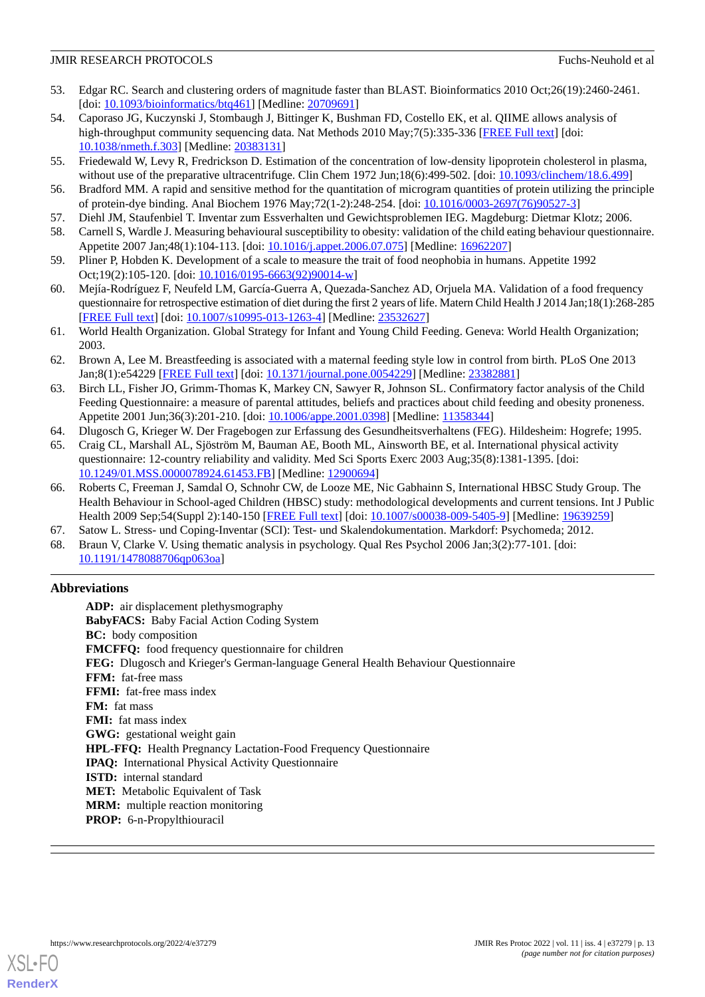- <span id="page-12-0"></span>53. Edgar RC. Search and clustering orders of magnitude faster than BLAST. Bioinformatics 2010 Oct;26(19):2460-2461. [doi: [10.1093/bioinformatics/btq461](http://dx.doi.org/10.1093/bioinformatics/btq461)] [Medline: [20709691\]](http://www.ncbi.nlm.nih.gov/entrez/query.fcgi?cmd=Retrieve&db=PubMed&list_uids=20709691&dopt=Abstract)
- <span id="page-12-1"></span>54. Caporaso JG, Kuczynski J, Stombaugh J, Bittinger K, Bushman FD, Costello EK, et al. QIIME allows analysis of high-throughput community sequencing data. Nat Methods 2010 May;7(5):335-336 [[FREE Full text](http://europepmc.org/abstract/MED/20383131)] [doi: [10.1038/nmeth.f.303](http://dx.doi.org/10.1038/nmeth.f.303)] [Medline: [20383131\]](http://www.ncbi.nlm.nih.gov/entrez/query.fcgi?cmd=Retrieve&db=PubMed&list_uids=20383131&dopt=Abstract)
- <span id="page-12-3"></span><span id="page-12-2"></span>55. Friedewald W, Levy R, Fredrickson D. Estimation of the concentration of low-density lipoprotein cholesterol in plasma, without use of the preparative ultracentrifuge. Clin Chem 1972 Jun;18(6):499-502. [doi: [10.1093/clinchem/18.6.499](http://dx.doi.org/10.1093/clinchem/18.6.499)]
- <span id="page-12-4"></span>56. Bradford MM. A rapid and sensitive method for the quantitation of microgram quantities of protein utilizing the principle of protein-dye binding. Anal Biochem 1976 May;72(1-2):248-254. [doi: [10.1016/0003-2697\(76\)90527-3\]](http://dx.doi.org/10.1016/0003-2697(76)90527-3)
- <span id="page-12-5"></span>57. Diehl JM, Staufenbiel T. Inventar zum Essverhalten und Gewichtsproblemen IEG. Magdeburg: Dietmar Klotz; 2006.
- <span id="page-12-6"></span>58. Carnell S, Wardle J. Measuring behavioural susceptibility to obesity: validation of the child eating behaviour questionnaire. Appetite 2007 Jan;48(1):104-113. [doi: [10.1016/j.appet.2006.07.075\]](http://dx.doi.org/10.1016/j.appet.2006.07.075) [Medline: [16962207\]](http://www.ncbi.nlm.nih.gov/entrez/query.fcgi?cmd=Retrieve&db=PubMed&list_uids=16962207&dopt=Abstract)
- <span id="page-12-7"></span>59. Pliner P, Hobden K. Development of a scale to measure the trait of food neophobia in humans. Appetite 1992 Oct;19(2):105-120. [doi: [10.1016/0195-6663\(92\)90014-w\]](http://dx.doi.org/10.1016/0195-6663(92)90014-w)
- <span id="page-12-8"></span>60. Mejía-Rodríguez F, Neufeld LM, García-Guerra A, Quezada-Sanchez AD, Orjuela MA. Validation of a food frequency questionnaire for retrospective estimation of diet during the first 2 years of life. Matern Child Health J 2014 Jan;18(1):268-285 [[FREE Full text](http://europepmc.org/abstract/MED/23532627)] [doi: [10.1007/s10995-013-1263-4\]](http://dx.doi.org/10.1007/s10995-013-1263-4) [Medline: [23532627](http://www.ncbi.nlm.nih.gov/entrez/query.fcgi?cmd=Retrieve&db=PubMed&list_uids=23532627&dopt=Abstract)]
- <span id="page-12-9"></span>61. World Health Organization. Global Strategy for Infant and Young Child Feeding. Geneva: World Health Organization; 2003.
- <span id="page-12-10"></span>62. Brown A, Lee M. Breastfeeding is associated with a maternal feeding style low in control from birth. PLoS One 2013 Jan;8(1):e54229 [\[FREE Full text\]](https://dx.plos.org/10.1371/journal.pone.0054229) [doi: [10.1371/journal.pone.0054229](http://dx.doi.org/10.1371/journal.pone.0054229)] [Medline: [23382881\]](http://www.ncbi.nlm.nih.gov/entrez/query.fcgi?cmd=Retrieve&db=PubMed&list_uids=23382881&dopt=Abstract)
- <span id="page-12-12"></span><span id="page-12-11"></span>63. Birch LL, Fisher JO, Grimm-Thomas K, Markey CN, Sawyer R, Johnson SL. Confirmatory factor analysis of the Child Feeding Questionnaire: a measure of parental attitudes, beliefs and practices about child feeding and obesity proneness. Appetite 2001 Jun;36(3):201-210. [doi: [10.1006/appe.2001.0398\]](http://dx.doi.org/10.1006/appe.2001.0398) [Medline: [11358344\]](http://www.ncbi.nlm.nih.gov/entrez/query.fcgi?cmd=Retrieve&db=PubMed&list_uids=11358344&dopt=Abstract)
- 64. Dlugosch G, Krieger W. Der Fragebogen zur Erfassung des Gesundheitsverhaltens (FEG). Hildesheim: Hogrefe; 1995.
- <span id="page-12-13"></span>65. Craig CL, Marshall AL, Sjöström M, Bauman AE, Booth ML, Ainsworth BE, et al. International physical activity questionnaire: 12-country reliability and validity. Med Sci Sports Exerc 2003 Aug;35(8):1381-1395. [doi: [10.1249/01.MSS.0000078924.61453.FB](http://dx.doi.org/10.1249/01.MSS.0000078924.61453.FB)] [Medline: [12900694\]](http://www.ncbi.nlm.nih.gov/entrez/query.fcgi?cmd=Retrieve&db=PubMed&list_uids=12900694&dopt=Abstract)
- <span id="page-12-15"></span><span id="page-12-14"></span>66. Roberts C, Freeman J, Samdal O, Schnohr CW, de Looze ME, Nic Gabhainn S, International HBSC Study Group. The Health Behaviour in School-aged Children (HBSC) study: methodological developments and current tensions. Int J Public Health 2009 Sep;54(Suppl 2):140-150 [\[FREE Full text\]](http://europepmc.org/abstract/MED/19639259) [doi: [10.1007/s00038-009-5405-9](http://dx.doi.org/10.1007/s00038-009-5405-9)] [Medline: [19639259\]](http://www.ncbi.nlm.nih.gov/entrez/query.fcgi?cmd=Retrieve&db=PubMed&list_uids=19639259&dopt=Abstract)
- 67. Satow L. Stress- und Coping-Inventar (SCI): Test- und Skalendokumentation. Markdorf: Psychomeda; 2012.
- 68. Braun V, Clarke V. Using thematic analysis in psychology. Qual Res Psychol 2006 Jan;3(2):77-101. [doi: [10.1191/1478088706qp063oa](http://dx.doi.org/10.1191/1478088706qp063oa)]

# **Abbreviations**

**ADP:** air displacement plethysmography **BabyFACS:** Baby Facial Action Coding System **BC:** body composition **FMCFFQ:** food frequency questionnaire for children **FEG:** Dlugosch and Krieger's German-language General Health Behaviour Questionnaire **FFM:** fat-free mass **FFMI:** fat-free mass index **FM:** fat mass **FMI:** fat mass index **GWG:** gestational weight gain **HPL-FFQ:** Health Pregnancy Lactation-Food Frequency Questionnaire **IPAQ:** International Physical Activity Questionnaire **ISTD:** internal standard **MET:** Metabolic Equivalent of Task **MRM:** multiple reaction monitoring **PROP:** 6-n-Propylthiouracil